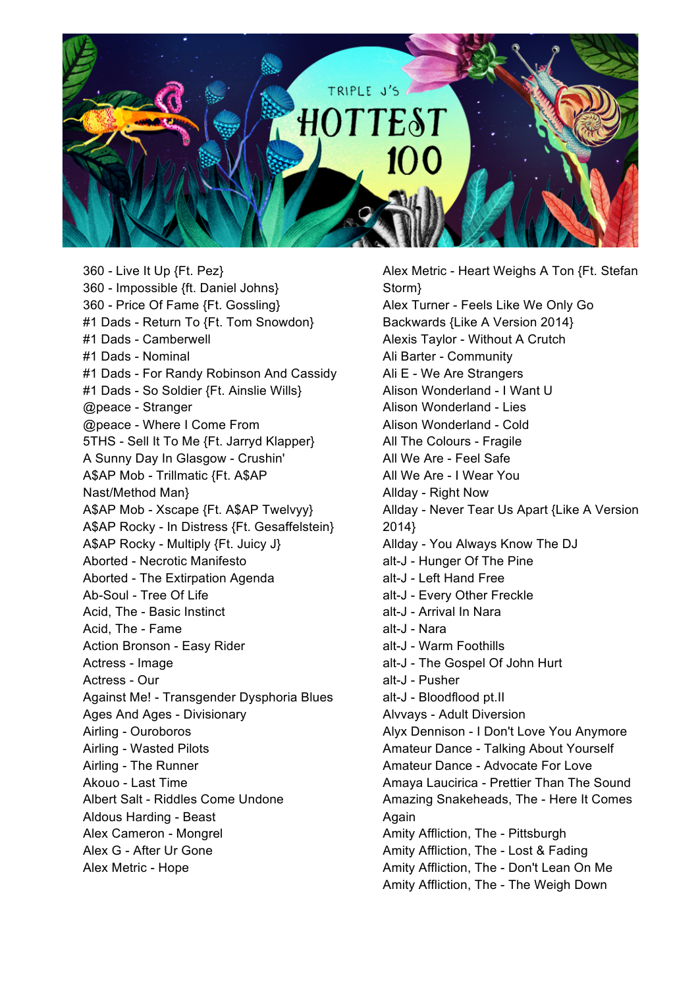

360 - Live It Up {Ft. Pez} 360 - Impossible {ft. Daniel Johns} 360 - Price Of Fame {Ft. Gossling} #1 Dads - Return To {Ft. Tom Snowdon} #1 Dads - Camberwell #1 Dads - Nominal #1 Dads - For Randy Robinson And Cassidy #1 Dads - So Soldier {Ft. Ainslie Wills} @peace - Stranger @peace - Where I Come From 5THS - Sell It To Me {Ft. Jarryd Klapper} A Sunny Day In Glasgow - Crushin' A\$AP Mob - Trillmatic {Ft. A\$AP Nast/Method Man} A\$AP Mob - Xscape {Ft. A\$AP Twelvyy} A\$AP Rocky - In Distress {Ft. Gesaffelstein} A\$AP Rocky - Multiply {Ft. Juicy J} Aborted - Necrotic Manifesto Aborted - The Extirpation Agenda Ab-Soul - Tree Of Life Acid, The - Basic Instinct Acid, The - Fame Action Bronson - Easy Rider Actress - Image Actress - Our Against Me! - Transgender Dysphoria Blues Ages And Ages - Divisionary Airling - Ouroboros Airling - Wasted Pilots Airling - The Runner Akouo - Last Time Albert Salt - Riddles Come Undone Aldous Harding - Beast Alex Cameron - Mongrel Alex G - After Ur Gone Alex Metric - Hope

Alex Metric - Heart Weighs A Ton {Ft. Stefan Storm} Alex Turner - Feels Like We Only Go Backwards {Like A Version 2014} Alexis Taylor - Without A Crutch Ali Barter - Community Ali E - We Are Strangers Alison Wonderland - I Want U Alison Wonderland - Lies Alison Wonderland - Cold All The Colours - Fragile All We Are - Feel Safe All We Are - I Wear You Allday - Right Now Allday - Never Tear Us Apart {Like A Version 2014} Allday - You Always Know The DJ alt-J - Hunger Of The Pine alt-J - Left Hand Free alt-J - Every Other Freckle alt-J - Arrival In Nara alt-J - Nara alt-J - Warm Foothills alt-J - The Gospel Of John Hurt alt-J - Pusher alt-J - Bloodflood pt.II Alvvays - Adult Diversion Alyx Dennison - I Don't Love You Anymore Amateur Dance - Talking About Yourself Amateur Dance - Advocate For Love Amaya Laucirica - Prettier Than The Sound Amazing Snakeheads, The - Here It Comes Again Amity Affliction, The - Pittsburgh Amity Affliction, The - Lost & Fading Amity Affliction, The - Don't Lean On Me Amity Affliction, The - The Weigh Down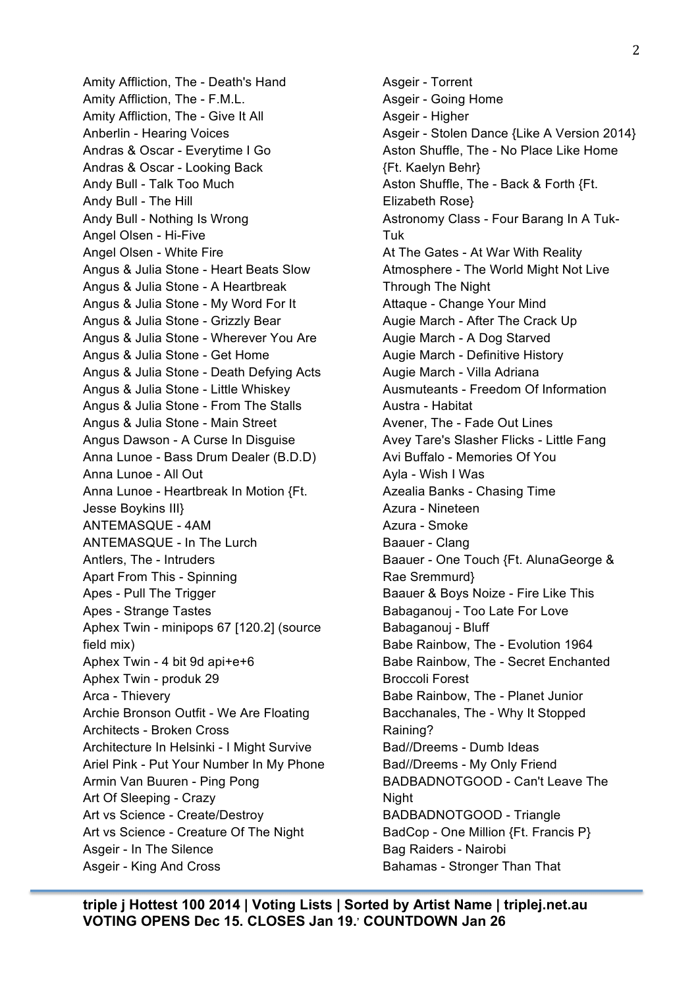2

Amity Affliction, The - Death's Hand Amity Affliction, The - F.M.L. Amity Affliction, The - Give It All Anberlin - Hearing Voices Andras & Oscar - Everytime I Go Andras & Oscar - Looking Back Andy Bull - Talk Too Much Andy Bull - The Hill Andy Bull - Nothing Is Wrong Angel Olsen - Hi-Five Angel Olsen - White Fire Angus & Julia Stone - Heart Beats Slow Angus & Julia Stone - A Heartbreak Angus & Julia Stone - My Word For It Angus & Julia Stone - Grizzly Bear Angus & Julia Stone - Wherever You Are Angus & Julia Stone - Get Home Angus & Julia Stone - Death Defying Acts Angus & Julia Stone - Little Whiskey Angus & Julia Stone - From The Stalls Angus & Julia Stone - Main Street Angus Dawson - A Curse In Disguise Anna Lunoe - Bass Drum Dealer (B.D.D) Anna Lunoe - All Out Anna Lunoe - Heartbreak In Motion {Ft. Jesse Boykins III} ANTEMASQUE - 4AM ANTEMASQUE - In The Lurch Antlers, The - Intruders Apart From This - Spinning Apes - Pull The Trigger Apes - Strange Tastes Aphex Twin - minipops 67 [120.2] (source field mix) Aphex Twin - 4 bit 9d api+e+6 Aphex Twin - produk 29 Arca - Thievery Archie Bronson Outfit - We Are Floating Architects - Broken Cross Architecture In Helsinki - I Might Survive Ariel Pink - Put Your Number In My Phone Armin Van Buuren - Ping Pong Art Of Sleeping - Crazy Art vs Science - Create/Destroy Art vs Science - Creature Of The Night Asgeir - In The Silence Asgeir - King And Cross

Asgeir - Torrent Asgeir - Going Home Asgeir - Higher Asgeir - Stolen Dance {Like A Version 2014} Aston Shuffle, The - No Place Like Home {Ft. Kaelyn Behr} Aston Shuffle, The - Back & Forth {Ft. Elizabeth Rose} Astronomy Class - Four Barang In A Tuk-Tuk At The Gates - At War With Reality Atmosphere - The World Might Not Live Through The Night Attaque - Change Your Mind Augie March - After The Crack Up Augie March - A Dog Starved Augie March - Definitive History Augie March - Villa Adriana Ausmuteants - Freedom Of Information Austra - Habitat Avener, The - Fade Out Lines Avey Tare's Slasher Flicks - Little Fang Avi Buffalo - Memories Of You Ayla - Wish I Was Azealia Banks - Chasing Time Azura - Nineteen Azura - Smoke Baauer - Clang Baauer - One Touch {Ft. AlunaGeorge & Rae Sremmurd} Baauer & Boys Noize - Fire Like This Babaganouj - Too Late For Love Babaganouj - Bluff Babe Rainbow, The - Evolution 1964 Babe Rainbow, The - Secret Enchanted Broccoli Forest Babe Rainbow, The - Planet Junior Bacchanales, The - Why It Stopped Raining? Bad//Dreems - Dumb Ideas Bad//Dreems - My Only Friend BADBADNOTGOOD - Can't Leave The Night BADBADNOTGOOD - Triangle BadCop - One Million {Ft. Francis P} Bag Raiders - Nairobi Bahamas - Stronger Than That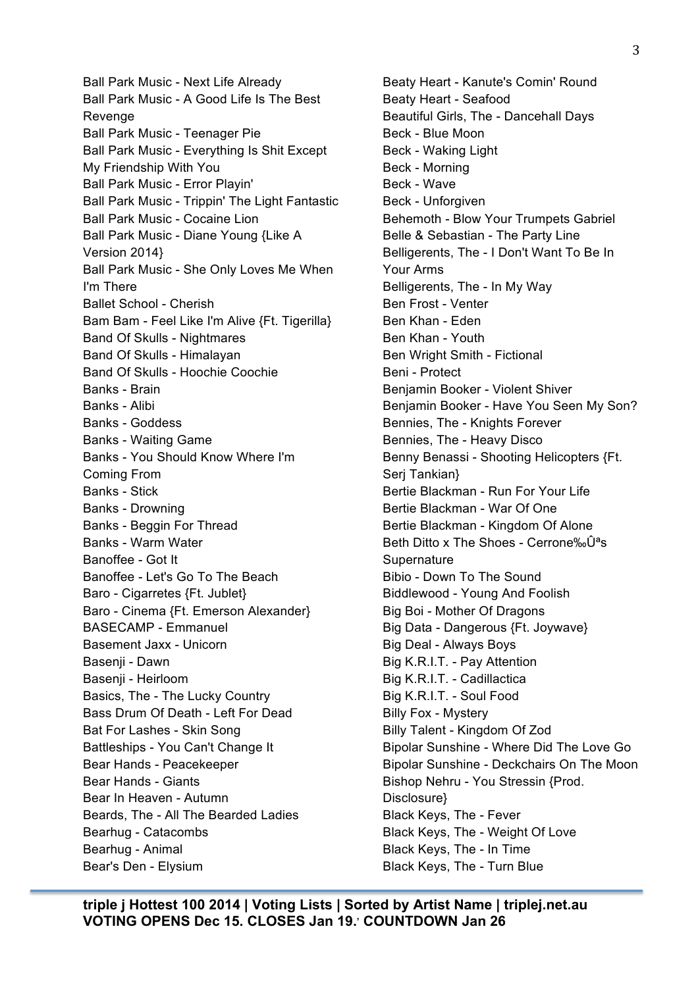Ball Park Music - Next Life Already Ball Park Music - A Good Life Is The Best Revenge Ball Park Music - Teenager Pie Ball Park Music - Everything Is Shit Except My Friendship With You Ball Park Music - Error Playin' Ball Park Music - Trippin' The Light Fantastic Ball Park Music - Cocaine Lion Ball Park Music - Diane Young {Like A Version 2014} Ball Park Music - She Only Loves Me When I'm There Ballet School - Cherish Bam Bam - Feel Like I'm Alive {Ft. Tigerilla} Band Of Skulls - Nightmares Band Of Skulls - Himalayan Band Of Skulls - Hoochie Coochie Banks - Brain Banks - Alibi Banks - Goddess Banks - Waiting Game Banks - You Should Know Where I'm Coming From Banks - Stick Banks - Drowning Banks - Beggin For Thread Banks - Warm Water Banoffee - Got It Banoffee - Let's Go To The Beach Baro - Cigarretes {Ft. Jublet} Baro - Cinema {Ft. Emerson Alexander} BASECAMP - Emmanuel Basement Jaxx - Unicorn Basenji - Dawn Basenji - Heirloom Basics, The - The Lucky Country Bass Drum Of Death - Left For Dead Bat For Lashes - Skin Song Battleships - You Can't Change It Bear Hands - Peacekeeper Bear Hands - Giants Bear In Heaven - Autumn Beards, The - All The Bearded Ladies Bearhug - Catacombs Bearhug - Animal Bear's Den - Elysium

Beaty Heart - Kanute's Comin' Round Beaty Heart - Seafood Beautiful Girls, The - Dancehall Days Beck - Blue Moon Beck - Waking Light Beck - Morning Beck - Wave Beck - Unforgiven Behemoth - Blow Your Trumpets Gabriel Belle & Sebastian - The Party Line Belligerents, The - I Don't Want To Be In Your Arms Belligerents, The - In My Way Ben Frost - Venter Ben Khan - Eden Ben Khan - Youth Ben Wright Smith - Fictional Beni - Protect Benjamin Booker - Violent Shiver Benjamin Booker - Have You Seen My Son? Bennies, The - Knights Forever Bennies, The - Heavy Disco Benny Benassi - Shooting Helicopters {Ft. Serj Tankian} Bertie Blackman - Run For Your Life Bertie Blackman - War Of One Bertie Blackman - Kingdom Of Alone Beth Ditto x The Shoes - Cerrone‰Ûªs **Supernature** Bibio - Down To The Sound Biddlewood - Young And Foolish Big Boi - Mother Of Dragons Big Data - Dangerous {Ft. Joywave} Big Deal - Always Boys Big K.R.I.T. - Pay Attention Big K.R.I.T. - Cadillactica Big K.R.I.T. - Soul Food Billy Fox - Mystery Billy Talent - Kingdom Of Zod Bipolar Sunshine - Where Did The Love Go Bipolar Sunshine - Deckchairs On The Moon Bishop Nehru - You Stressin {Prod. Disclosure} Black Keys, The - Fever Black Keys, The - Weight Of Love Black Keys, The - In Time Black Keys, The - Turn Blue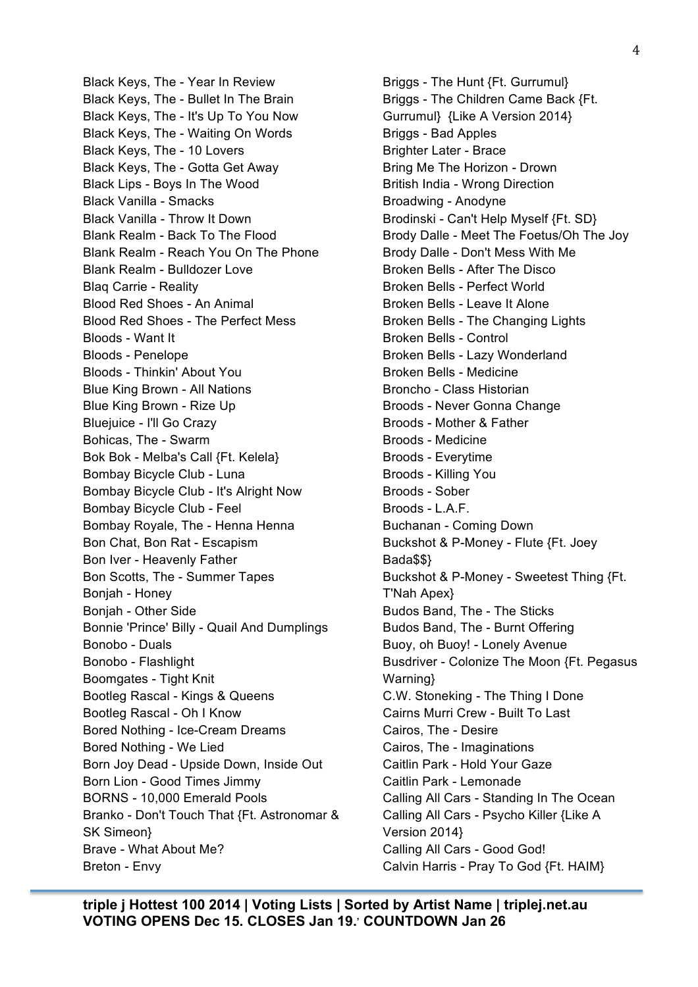Black Keys, The - Year In Review Black Keys, The - Bullet In The Brain Black Keys, The - It's Up To You Now Black Keys, The - Waiting On Words Black Keys, The - 10 Lovers Black Keys, The - Gotta Get Away Black Lips - Boys In The Wood Black Vanilla - Smacks Black Vanilla - Throw It Down Blank Realm - Back To The Flood Blank Realm - Reach You On The Phone Blank Realm - Bulldozer Love Blaq Carrie - Reality Blood Red Shoes - An Animal Blood Red Shoes - The Perfect Mess Bloods - Want It Bloods - Penelope Bloods - Thinkin' About You Blue King Brown - All Nations Blue King Brown - Rize Up Bluejuice - I'll Go Crazy Bohicas, The - Swarm Bok Bok - Melba's Call {Ft. Kelela} Bombay Bicycle Club - Luna Bombay Bicycle Club - It's Alright Now Bombay Bicycle Club - Feel Bombay Royale, The - Henna Henna Bon Chat, Bon Rat - Escapism Bon Iver - Heavenly Father Bon Scotts, The - Summer Tapes Bonjah - Honey Bonjah - Other Side Bonnie 'Prince' Billy - Quail And Dumplings Bonobo - Duals Bonobo - Flashlight Boomgates - Tight Knit Bootleg Rascal - Kings & Queens Bootleg Rascal - Oh I Know Bored Nothing - Ice-Cream Dreams Bored Nothing - We Lied Born Joy Dead - Upside Down, Inside Out Born Lion - Good Times Jimmy BORNS - 10,000 Emerald Pools Branko - Don't Touch That {Ft. Astronomar & SK Simeon} Brave - What About Me? Breton - Envy

Briggs - The Hunt {Ft. Gurrumul} Briggs - The Children Came Back {Ft. Gurrumul} {Like A Version 2014} Briggs - Bad Apples Brighter Later - Brace Bring Me The Horizon - Drown British India - Wrong Direction Broadwing - Anodyne Brodinski - Can't Help Myself {Ft. SD} Brody Dalle - Meet The Foetus/Oh The Joy Brody Dalle - Don't Mess With Me Broken Bells - After The Disco Broken Bells - Perfect World Broken Bells - Leave It Alone Broken Bells - The Changing Lights Broken Bells - Control Broken Bells - Lazy Wonderland Broken Bells - Medicine Broncho - Class Historian Broods - Never Gonna Change Broods - Mother & Father Broods - Medicine Broods - Everytime Broods - Killing You Broods - Sober Broods - L.A.F. Buchanan - Coming Down Buckshot & P-Money - Flute {Ft. Joey Bada\$\$} Buckshot & P-Money - Sweetest Thing {Ft. T'Nah Apex} Budos Band, The - The Sticks Budos Band, The - Burnt Offering Buoy, oh Buoy! - Lonely Avenue Busdriver - Colonize The Moon {Ft. Pegasus Warning} C.W. Stoneking - The Thing I Done Cairns Murri Crew - Built To Last Cairos, The - Desire Cairos, The - Imaginations Caitlin Park - Hold Your Gaze Caitlin Park - Lemonade Calling All Cars - Standing In The Ocean Calling All Cars - Psycho Killer {Like A Version 2014} Calling All Cars - Good God! Calvin Harris - Pray To God {Ft. HAIM}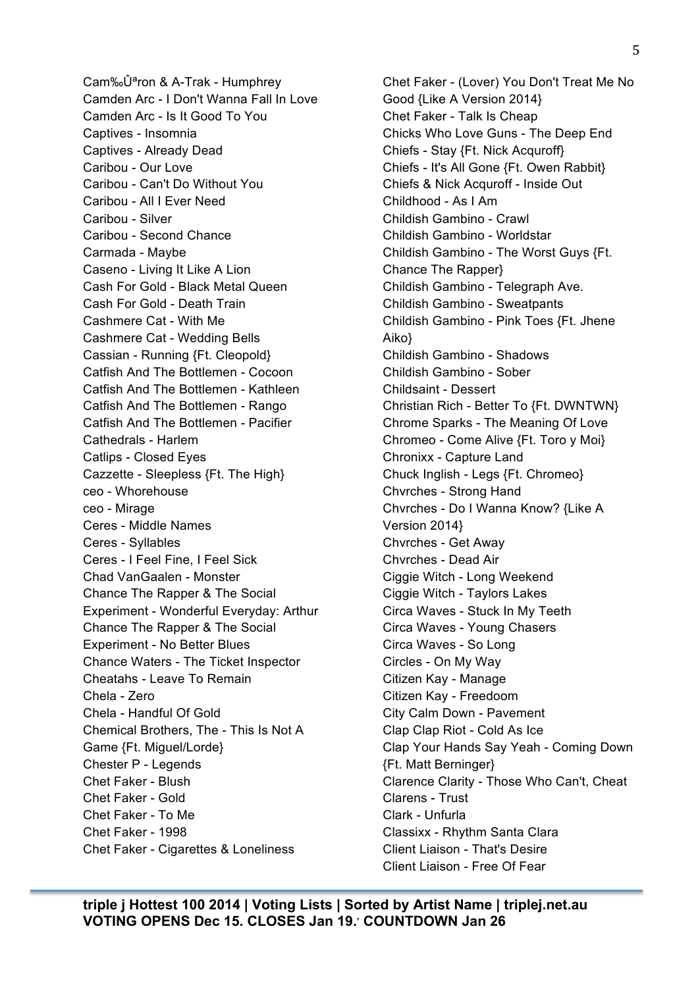Cam‰Ûªron & A-Trak - Humphrey Camden Arc - I Don't Wanna Fall In Love Camden Arc - Is It Good To You Captives - Insomnia Captives - Already Dead Caribou - Our Love Caribou - Can't Do Without You Caribou - All I Ever Need Caribou - Silver Caribou - Second Chance Carmada - Maybe Caseno - Living It Like A Lion Cash For Gold - Black Metal Queen Cash For Gold - Death Train Cashmere Cat - With Me Cashmere Cat - Wedding Bells Cassian - Running {Ft. Cleopold} Catfish And The Bottlemen - Cocoon Catfish And The Bottlemen - Kathleen Catfish And The Bottlemen - Rango Catfish And The Bottlemen - Pacifier Cathedrals - Harlem Catlips - Closed Eyes Cazzette - Sleepless {Ft. The High} ceo - Whorehouse ceo - Mirage Ceres - Middle Names Ceres - Syllables Ceres - I Feel Fine, I Feel Sick Chad VanGaalen - Monster Chance The Rapper & The Social Experiment - Wonderful Everyday: Arthur Chance The Rapper & The Social Experiment - No Better Blues Chance Waters - The Ticket Inspector Cheatahs - Leave To Remain Chela - Zero Chela - Handful Of Gold Chemical Brothers, The - This Is Not A

Game {Ft. Miguel/Lorde} Chester P - Legends Chet Faker - Blush Chet Faker - Gold Chet Faker - To Me Chet Faker - 1998

Chet Faker - Cigarettes & Loneliness

Chet Faker - (Lover) You Don't Treat Me No Good {Like A Version 2014} Chet Faker - Talk Is Cheap Chicks Who Love Guns - The Deep End Chiefs - Stay {Ft. Nick Acquroff} Chiefs - It's All Gone {Ft. Owen Rabbit} Chiefs & Nick Acquroff - Inside Out Childhood - As I Am Childish Gambino - Crawl Childish Gambino - Worldstar Childish Gambino - The Worst Guys {Ft. Chance The Rapper} Childish Gambino - Telegraph Ave. Childish Gambino - Sweatpants Childish Gambino - Pink Toes {Ft. Jhene Aiko} Childish Gambino - Shadows Childish Gambino - Sober Childsaint - Dessert Christian Rich - Better To {Ft. DWNTWN} Chrome Sparks - The Meaning Of Love Chromeo - Come Alive {Ft. Toro y Moi} Chronixx - Capture Land Chuck Inglish - Legs {Ft. Chromeo} Chvrches - Strong Hand Chvrches - Do I Wanna Know? {Like A Version 2014} Chvrches - Get Away Chvrches - Dead Air Ciggie Witch - Long Weekend Ciggie Witch - Taylors Lakes Circa Waves - Stuck In My Teeth Circa Waves - Young Chasers Circa Waves - So Long Circles - On My Way Citizen Kay - Manage Citizen Kay - Freedoom City Calm Down - Pavement Clap Clap Riot - Cold As Ice Clap Your Hands Say Yeah - Coming Down {Ft. Matt Berninger} Clarence Clarity - Those Who Can't, Cheat Clarens - Trust Clark - Unfurla Classixx - Rhythm Santa Clara Client Liaison - That's Desire Client Liaison - Free Of Fear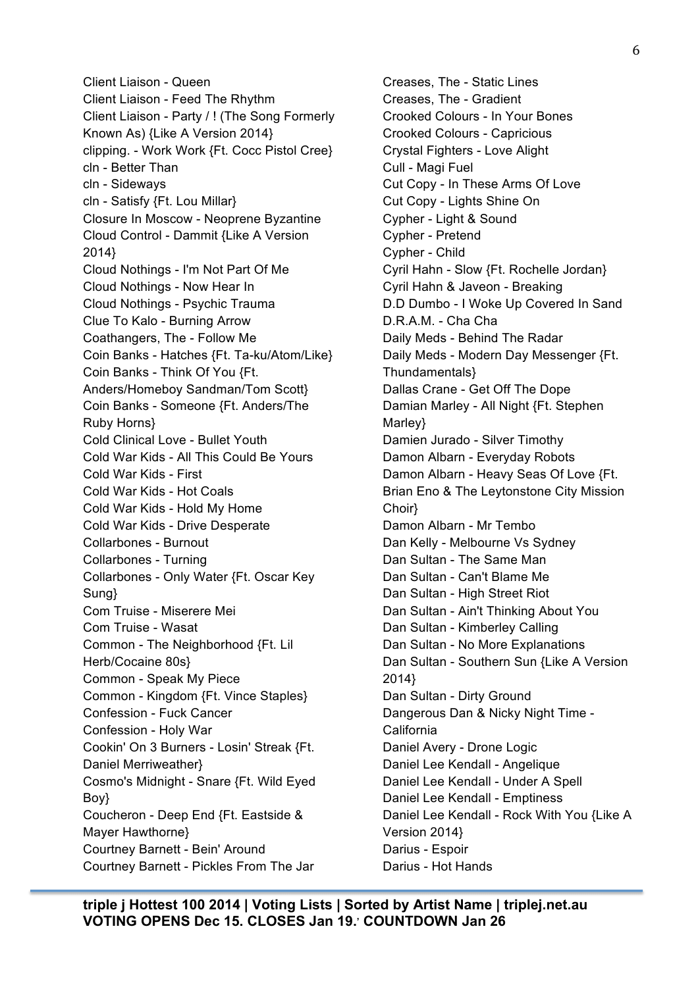Client Liaison - Queen Client Liaison - Feed The Rhythm Client Liaison - Party / ! (The Song Formerly Known As) {Like A Version 2014} clipping. - Work Work {Ft. Cocc Pistol Cree} cln - Better Than cln - Sideways cln - Satisfy {Ft. Lou Millar} Closure In Moscow - Neoprene Byzantine Cloud Control - Dammit {Like A Version 2014} Cloud Nothings - I'm Not Part Of Me Cloud Nothings - Now Hear In Cloud Nothings - Psychic Trauma Clue To Kalo - Burning Arrow Coathangers, The - Follow Me Coin Banks - Hatches {Ft. Ta-ku/Atom/Like} Coin Banks - Think Of You {Ft. Anders/Homeboy Sandman/Tom Scott} Coin Banks - Someone {Ft. Anders/The Ruby Horns} Cold Clinical Love - Bullet Youth Cold War Kids - All This Could Be Yours Cold War Kids - First Cold War Kids - Hot Coals Cold War Kids - Hold My Home Cold War Kids - Drive Desperate Collarbones - Burnout Collarbones - Turning Collarbones - Only Water {Ft. Oscar Key Sung} Com Truise - Miserere Mei Com Truise - Wasat Common - The Neighborhood {Ft. Lil Herb/Cocaine 80s} Common - Speak My Piece Common - Kingdom {Ft. Vince Staples} Confession - Fuck Cancer Confession - Holy War Cookin' On 3 Burners - Losin' Streak {Ft. Daniel Merriweather} Cosmo's Midnight - Snare {Ft. Wild Eyed Boy} Coucheron - Deep End {Ft. Eastside & Mayer Hawthorne} Courtney Barnett - Bein' Around Courtney Barnett - Pickles From The Jar

Creases, The - Static Lines Creases, The - Gradient Crooked Colours - In Your Bones Crooked Colours - Capricious Crystal Fighters - Love Alight Cull - Magi Fuel Cut Copy - In These Arms Of Love Cut Copy - Lights Shine On Cypher - Light & Sound Cypher - Pretend Cypher - Child Cyril Hahn - Slow {Ft. Rochelle Jordan} Cyril Hahn & Javeon - Breaking D.D Dumbo - I Woke Up Covered In Sand D.R.A.M. - Cha Cha Daily Meds - Behind The Radar Daily Meds - Modern Day Messenger {Ft. Thundamentals} Dallas Crane - Get Off The Dope Damian Marley - All Night {Ft. Stephen Marley} Damien Jurado - Silver Timothy Damon Albarn - Everyday Robots Damon Albarn - Heavy Seas Of Love {Ft. Brian Eno & The Leytonstone City Mission Choir} Damon Albarn - Mr Tembo Dan Kelly - Melbourne Vs Sydney Dan Sultan - The Same Man Dan Sultan - Can't Blame Me Dan Sultan - High Street Riot Dan Sultan - Ain't Thinking About You Dan Sultan - Kimberley Calling Dan Sultan - No More Explanations Dan Sultan - Southern Sun {Like A Version 2014} Dan Sultan - Dirty Ground Dangerous Dan & Nicky Night Time - California Daniel Avery - Drone Logic Daniel Lee Kendall - Angelique Daniel Lee Kendall - Under A Spell Daniel Lee Kendall - Emptiness Daniel Lee Kendall - Rock With You {Like A Version 2014} Darius - Espoir Darius - Hot Hands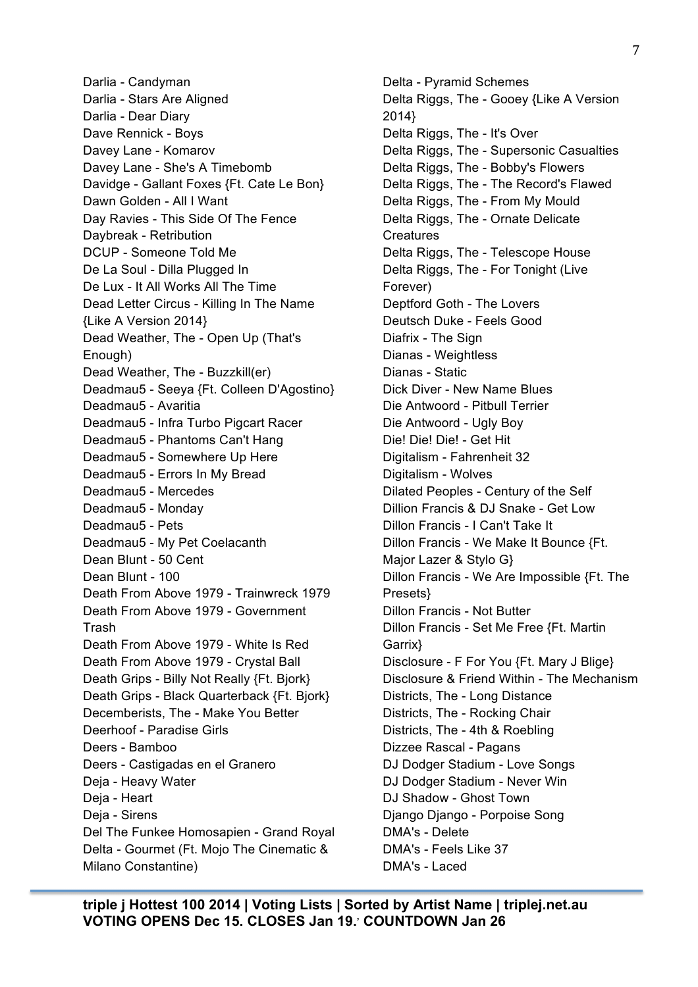Darlia - Candyman Darlia - Stars Are Aligned Darlia - Dear Diary Dave Rennick - Boys Davey Lane - Komarov Davey Lane - She's A Timebomb Davidge - Gallant Foxes {Ft. Cate Le Bon} Dawn Golden - All I Want Day Ravies - This Side Of The Fence Daybreak - Retribution DCUP - Someone Told Me De La Soul - Dilla Plugged In De Lux - It All Works All The Time Dead Letter Circus - Killing In The Name {Like A Version 2014} Dead Weather, The - Open Up (That's Enough) Dead Weather, The - Buzzkill(er) Deadmau5 - Seeya {Ft. Colleen D'Agostino} Deadmau5 - Avaritia Deadmau5 - Infra Turbo Pigcart Racer Deadmau5 - Phantoms Can't Hang Deadmau5 - Somewhere Up Here Deadmau5 - Errors In My Bread Deadmau5 - Mercedes Deadmau5 - Monday Deadmau5 - Pets Deadmau5 - My Pet Coelacanth Dean Blunt - 50 Cent Dean Blunt - 100 Death From Above 1979 - Trainwreck 1979 Death From Above 1979 - Government Trash Death From Above 1979 - White Is Red Death From Above 1979 - Crystal Ball Death Grips - Billy Not Really {Ft. Bjork} Death Grips - Black Quarterback {Ft. Bjork} Decemberists, The - Make You Better Deerhoof - Paradise Girls Deers - Bamboo Deers - Castigadas en el Granero Deja - Heavy Water Deja - Heart Deja - Sirens Del The Funkee Homosapien - Grand Royal Delta - Gourmet (Ft. Mojo The Cinematic & Milano Constantine)

Delta - Pyramid Schemes Delta Riggs, The - Gooey {Like A Version 2014} Delta Riggs, The - It's Over Delta Riggs, The - Supersonic Casualties Delta Riggs, The - Bobby's Flowers Delta Riggs, The - The Record's Flawed Delta Riggs, The - From My Mould Delta Riggs, The - Ornate Delicate **Creatures** Delta Riggs, The - Telescope House Delta Riggs, The - For Tonight (Live Forever) Deptford Goth - The Lovers Deutsch Duke - Feels Good Diafrix - The Sign Dianas - Weightless Dianas - Static Dick Diver - New Name Blues Die Antwoord - Pitbull Terrier Die Antwoord - Ugly Boy Die! Die! Die! - Get Hit Digitalism - Fahrenheit 32 Digitalism - Wolves Dilated Peoples - Century of the Self Dillion Francis & DJ Snake - Get Low Dillon Francis - I Can't Take It Dillon Francis - We Make It Bounce {Ft. Major Lazer & Stylo G} Dillon Francis - We Are Impossible {Ft. The Presets} Dillon Francis - Not Butter Dillon Francis - Set Me Free {Ft. Martin Garrix} Disclosure - F For You {Ft. Mary J Blige} Disclosure & Friend Within - The Mechanism Districts, The - Long Distance Districts, The - Rocking Chair Districts, The - 4th & Roebling Dizzee Rascal - Pagans DJ Dodger Stadium - Love Songs DJ Dodger Stadium - Never Win DJ Shadow - Ghost Town Django Django - Porpoise Song DMA's - Delete DMA's - Feels Like 37 DMA's - Laced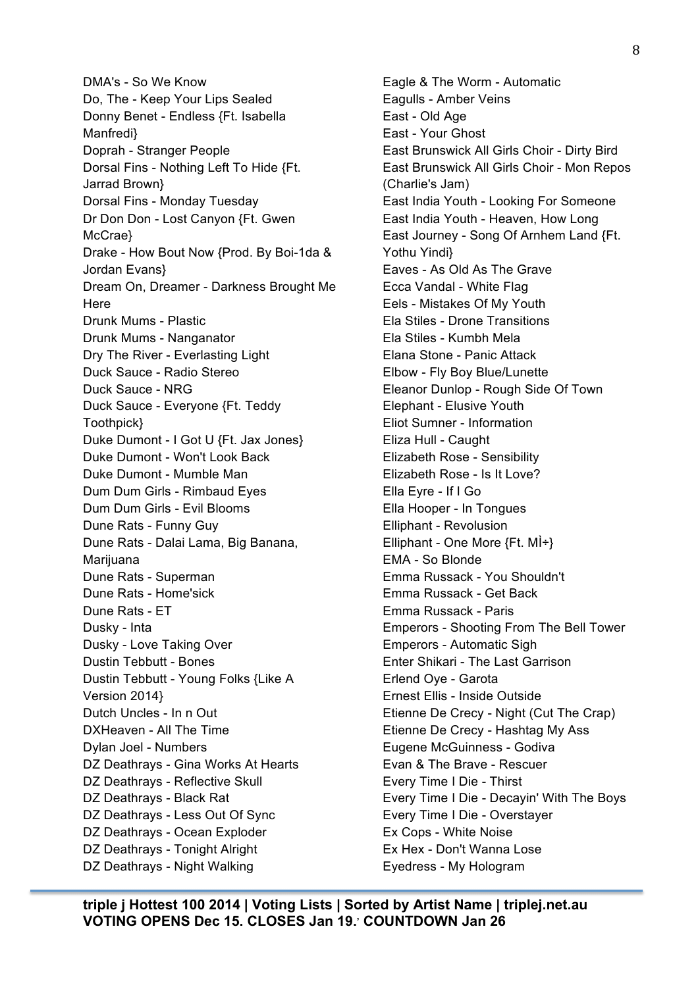DMA's - So We Know Do, The - Keep Your Lips Sealed Donny Benet - Endless {Ft. Isabella Manfredi} Doprah - Stranger People Dorsal Fins - Nothing Left To Hide {Ft. Jarrad Brown} Dorsal Fins - Monday Tuesday Dr Don Don - Lost Canyon {Ft. Gwen McCrae} Drake - How Bout Now {Prod. By Boi-1da & Jordan Evans} Dream On, Dreamer - Darkness Brought Me **Here** Drunk Mums - Plastic Drunk Mums - Nanganator Dry The River - Everlasting Light Duck Sauce - Radio Stereo Duck Sauce - NRG Duck Sauce - Everyone {Ft. Teddy Toothpick} Duke Dumont - I Got U {Ft. Jax Jones} Duke Dumont - Won't Look Back Duke Dumont - Mumble Man Dum Dum Girls - Rimbaud Eyes Dum Dum Girls - Evil Blooms Dune Rats - Funny Guy Dune Rats - Dalai Lama, Big Banana, Marijuana Dune Rats - Superman Dune Rats - Home'sick Dune Rats - ET Dusky - Inta Dusky - Love Taking Over Dustin Tebbutt - Bones Dustin Tebbutt - Young Folks {Like A Version 2014} Dutch Uncles - In n Out DXHeaven - All The Time Dylan Joel - Numbers DZ Deathrays - Gina Works At Hearts DZ Deathrays - Reflective Skull DZ Deathrays - Black Rat DZ Deathrays - Less Out Of Sync DZ Deathrays - Ocean Exploder DZ Deathrays - Tonight Alright DZ Deathrays - Night Walking

Eagle & The Worm - Automatic Eagulls - Amber Veins East - Old Age East - Your Ghost East Brunswick All Girls Choir - Dirty Bird East Brunswick All Girls Choir - Mon Repos (Charlie's Jam) East India Youth - Looking For Someone East India Youth - Heaven, How Long East Journey - Song Of Arnhem Land {Ft. Yothu Yindi} Eaves - As Old As The Grave Ecca Vandal - White Flag Eels - Mistakes Of My Youth Ela Stiles - Drone Transitions Ela Stiles - Kumbh Mela Elana Stone - Panic Attack Elbow - Fly Boy Blue/Lunette Eleanor Dunlop - Rough Side Of Town Elephant - Elusive Youth Eliot Sumner - Information Eliza Hull - Caught Elizabeth Rose - Sensibility Elizabeth Rose - Is It Love? Ella Eyre - If I Go Ella Hooper - In Tongues Elliphant - Revolusion Elliphant - One More  $\{Ft, M\}$  + EMA - So Blonde Emma Russack - You Shouldn't Emma Russack - Get Back Emma Russack - Paris Emperors - Shooting From The Bell Tower Emperors - Automatic Sigh Enter Shikari - The Last Garrison Erlend Oye - Garota Ernest Ellis - Inside Outside Etienne De Crecy - Night (Cut The Crap) Etienne De Crecy - Hashtag My Ass Eugene McGuinness - Godiva Evan & The Brave - Rescuer Every Time I Die - Thirst Every Time I Die - Decayin' With The Boys Every Time I Die - Overstayer Ex Cops - White Noise Ex Hex - Don't Wanna Lose Eyedress - My Hologram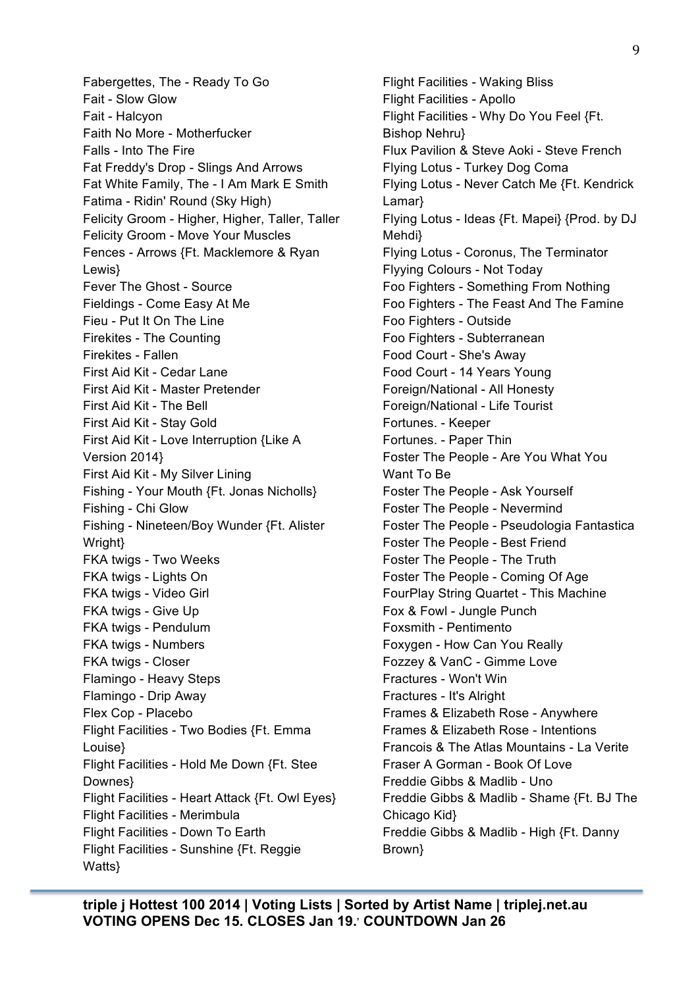Fabergettes, The - Ready To Go Fait - Slow Glow Fait - Halcyon Faith No More - Motherfucker Falls - Into The Fire Fat Freddy's Drop - Slings And Arrows Fat White Family, The - I Am Mark E Smith Fatima - Ridin' Round (Sky High) Felicity Groom - Higher, Higher, Taller, Taller Felicity Groom - Move Your Muscles Fences - Arrows {Ft. Macklemore & Ryan Lewis} Fever The Ghost - Source Fieldings - Come Easy At Me Fieu - Put It On The Line Firekites - The Counting Firekites - Fallen First Aid Kit - Cedar Lane First Aid Kit - Master Pretender First Aid Kit - The Bell First Aid Kit - Stay Gold First Aid Kit - Love Interruption {Like A Version 2014} First Aid Kit - My Silver Lining Fishing - Your Mouth {Ft. Jonas Nicholls} Fishing - Chi Glow Fishing - Nineteen/Boy Wunder {Ft. Alister Wright} FKA twigs - Two Weeks FKA twigs - Lights On FKA twigs - Video Girl FKA twigs - Give Up FKA twigs - Pendulum FKA twigs - Numbers FKA twigs - Closer Flamingo - Heavy Steps Flamingo - Drip Away Flex Cop - Placebo Flight Facilities - Two Bodies {Ft. Emma Louise} Flight Facilities - Hold Me Down {Ft. Stee Downes} Flight Facilities - Heart Attack {Ft. Owl Eyes} Flight Facilities - Merimbula Flight Facilities - Down To Earth Flight Facilities - Sunshine {Ft. Reggie Watts}

Flight Facilities - Waking Bliss Flight Facilities - Apollo Flight Facilities - Why Do You Feel {Ft. Bishop Nehru} Flux Pavilion & Steve Aoki - Steve French Flying Lotus - Turkey Dog Coma Flying Lotus - Never Catch Me {Ft. Kendrick Lamar} Flying Lotus - Ideas {Ft. Mapei} {Prod. by DJ Mehdi} Flying Lotus - Coronus, The Terminator Flyying Colours - Not Today Foo Fighters - Something From Nothing Foo Fighters - The Feast And The Famine Foo Fighters - Outside Foo Fighters - Subterranean Food Court - She's Away Food Court - 14 Years Young Foreign/National - All Honesty Foreign/National - Life Tourist Fortunes. - Keeper Fortunes. - Paper Thin Foster The People - Are You What You Want To Be Foster The People - Ask Yourself Foster The People - Nevermind Foster The People - Pseudologia Fantastica Foster The People - Best Friend Foster The People - The Truth Foster The People - Coming Of Age FourPlay String Quartet - This Machine Fox & Fowl - Jungle Punch Foxsmith - Pentimento Foxygen - How Can You Really Fozzey & VanC - Gimme Love Fractures - Won't Win Fractures - It's Alright Frames & Elizabeth Rose - Anywhere Frames & Elizabeth Rose - Intentions Francois & The Atlas Mountains - La Verite Fraser A Gorman - Book Of Love Freddie Gibbs & Madlib - Uno Freddie Gibbs & Madlib - Shame {Ft. BJ The Chicago Kid} Freddie Gibbs & Madlib - High {Ft. Danny Brown}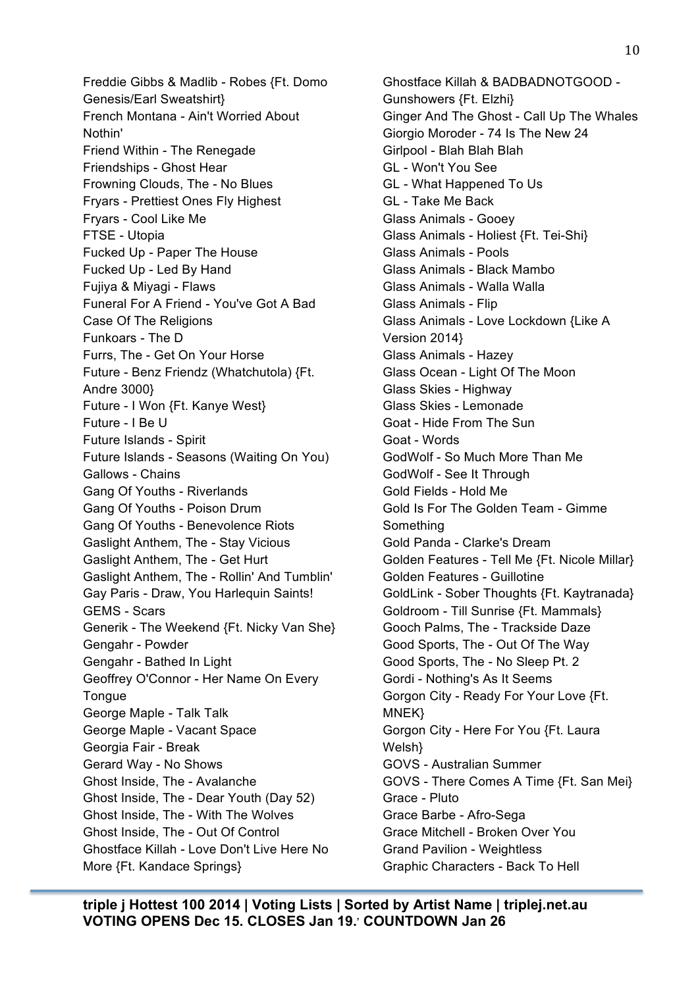Freddie Gibbs & Madlib - Robes {Ft. Domo Genesis/Earl Sweatshirt} French Montana - Ain't Worried About Nothin' Friend Within - The Renegade Friendships - Ghost Hear Frowning Clouds, The - No Blues Fryars - Prettiest Ones Fly Highest Fryars - Cool Like Me FTSE - Utopia Fucked Up - Paper The House Fucked Up - Led By Hand Fujiya & Miyagi - Flaws Funeral For A Friend - You've Got A Bad Case Of The Religions Funkoars - The D Furrs, The - Get On Your Horse Future - Benz Friendz (Whatchutola) {Ft. Andre 3000} Future - I Won {Ft. Kanye West} Future - I Be U Future Islands - Spirit Future Islands - Seasons (Waiting On You) Gallows - Chains Gang Of Youths - Riverlands Gang Of Youths - Poison Drum Gang Of Youths - Benevolence Riots Gaslight Anthem, The - Stay Vicious Gaslight Anthem, The - Get Hurt Gaslight Anthem, The - Rollin' And Tumblin' Gay Paris - Draw, You Harlequin Saints! GEMS - Scars Generik - The Weekend {Ft. Nicky Van She} Gengahr - Powder Gengahr - Bathed In Light Geoffrey O'Connor - Her Name On Every **Tongue** George Maple - Talk Talk George Maple - Vacant Space Georgia Fair - Break Gerard Way - No Shows Ghost Inside, The - Avalanche Ghost Inside, The - Dear Youth (Day 52) Ghost Inside, The - With The Wolves Ghost Inside, The - Out Of Control Ghostface Killah - Love Don't Live Here No More {Ft. Kandace Springs}

Ghostface Killah & BADBADNOTGOOD - Gunshowers {Ft. Elzhi} Ginger And The Ghost - Call Up The Whales Giorgio Moroder - 74 Is The New 24 Girlpool - Blah Blah Blah GL - Won't You See GL - What Happened To Us GL - Take Me Back Glass Animals - Gooey Glass Animals - Holiest {Ft. Tei-Shi} Glass Animals - Pools Glass Animals - Black Mambo Glass Animals - Walla Walla Glass Animals - Flip Glass Animals - Love Lockdown {Like A Version 2014} Glass Animals - Hazey Glass Ocean - Light Of The Moon Glass Skies - Highway Glass Skies - Lemonade Goat - Hide From The Sun Goat - Words GodWolf - So Much More Than Me GodWolf - See It Through Gold Fields - Hold Me Gold Is For The Golden Team - Gimme Something Gold Panda - Clarke's Dream Golden Features - Tell Me {Ft. Nicole Millar} Golden Features - Guillotine GoldLink - Sober Thoughts {Ft. Kaytranada} Goldroom - Till Sunrise {Ft. Mammals} Gooch Palms, The - Trackside Daze Good Sports, The - Out Of The Way Good Sports, The - No Sleep Pt. 2 Gordi - Nothing's As It Seems Gorgon City - Ready For Your Love {Ft. MNEK} Gorgon City - Here For You {Ft. Laura Welsh} GOVS - Australian Summer GOVS - There Comes A Time {Ft. San Mei} Grace - Pluto Grace Barbe - Afro-Sega Grace Mitchell - Broken Over You Grand Pavilion - Weightless Graphic Characters - Back To Hell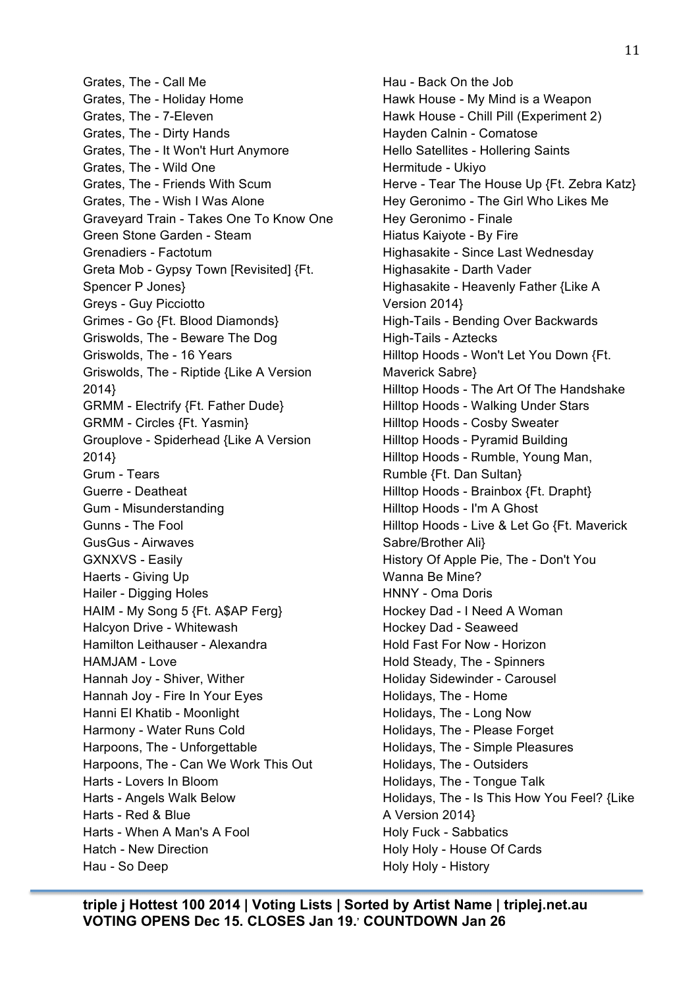Grates, The - Call Me Grates, The - Holiday Home Grates, The - 7-Eleven Grates, The - Dirty Hands Grates, The - It Won't Hurt Anymore Grates, The - Wild One Grates, The - Friends With Scum Grates, The - Wish I Was Alone Graveyard Train - Takes One To Know One Green Stone Garden - Steam Grenadiers - Factotum Greta Mob - Gypsy Town [Revisited] {Ft. Spencer P Jones} Greys - Guy Picciotto Grimes - Go {Ft. Blood Diamonds} Griswolds, The - Beware The Dog Griswolds, The - 16 Years Griswolds, The - Riptide {Like A Version 2014} GRMM - Electrify {Ft. Father Dude} GRMM - Circles {Ft. Yasmin} Grouplove - Spiderhead {Like A Version 2014} Grum - Tears Guerre - Deatheat Gum - Misunderstanding Gunns - The Fool GusGus - Airwaves GXNXVS - Easily Haerts - Giving Up Hailer - Digging Holes HAIM - My Song 5 {Ft. A\$AP Ferg} Halcyon Drive - Whitewash Hamilton Leithauser - Alexandra HAMJAM - Love Hannah Joy - Shiver, Wither Hannah Joy - Fire In Your Eyes Hanni El Khatib - Moonlight Harmony - Water Runs Cold Harpoons, The - Unforgettable Harpoons, The - Can We Work This Out Harts - Lovers In Bloom Harts - Angels Walk Below Harts - Red & Blue Harts - When A Man's A Fool Hatch - New Direction Hau - So Deep

Hau - Back On the Job Hawk House - My Mind is a Weapon Hawk House - Chill Pill (Experiment 2) Hayden Calnin - Comatose Hello Satellites - Hollering Saints Hermitude - Ukiyo Herve - Tear The House Up {Ft. Zebra Katz} Hey Geronimo - The Girl Who Likes Me Hey Geronimo - Finale Hiatus Kaiyote - By Fire Highasakite - Since Last Wednesday Highasakite - Darth Vader Highasakite - Heavenly Father {Like A Version 2014} High-Tails - Bending Over Backwards High-Tails - Aztecks Hilltop Hoods - Won't Let You Down {Ft. Maverick Sabre} Hilltop Hoods - The Art Of The Handshake Hilltop Hoods - Walking Under Stars Hilltop Hoods - Cosby Sweater Hilltop Hoods - Pyramid Building Hilltop Hoods - Rumble, Young Man, Rumble {Ft. Dan Sultan} Hilltop Hoods - Brainbox {Ft. Drapht} Hilltop Hoods - I'm A Ghost Hilltop Hoods - Live & Let Go {Ft. Maverick Sabre/Brother Ali} History Of Apple Pie, The - Don't You Wanna Be Mine? HNNY - Oma Doris Hockey Dad - I Need A Woman Hockey Dad - Seaweed Hold Fast For Now - Horizon Hold Steady, The - Spinners Holiday Sidewinder - Carousel Holidays, The - Home Holidays, The - Long Now Holidays, The - Please Forget Holidays, The - Simple Pleasures Holidays, The - Outsiders Holidays, The - Tongue Talk Holidays, The - Is This How You Feel? {Like A Version 2014} Holy Fuck - Sabbatics Holy Holy - House Of Cards Holy Holy - History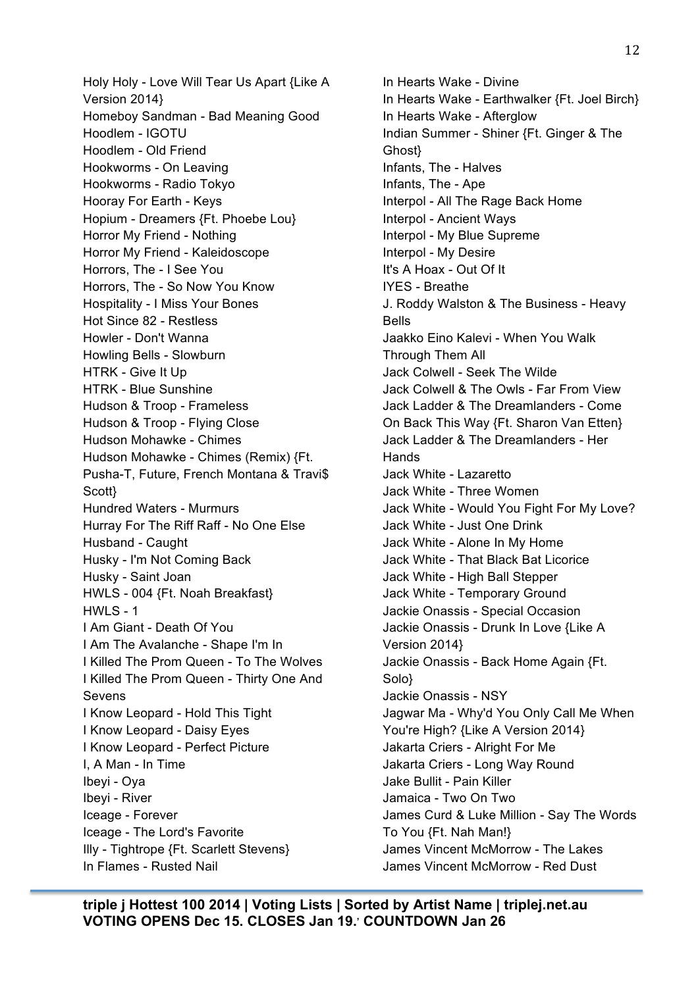Holy Holy - Love Will Tear Us Apart {Like A Version 2014} Homeboy Sandman - Bad Meaning Good Hoodlem - IGOTU Hoodlem - Old Friend Hookworms - On Leaving Hookworms - Radio Tokyo Hooray For Earth - Keys Hopium - Dreamers {Ft. Phoebe Lou} Horror My Friend - Nothing Horror My Friend - Kaleidoscope Horrors, The - I See You Horrors, The - So Now You Know Hospitality - I Miss Your Bones Hot Since 82 - Restless Howler - Don't Wanna Howling Bells - Slowburn HTRK - Give It Up HTRK - Blue Sunshine Hudson & Troop - Frameless Hudson & Troop - Flying Close Hudson Mohawke - Chimes Hudson Mohawke - Chimes (Remix) {Ft. Pusha-T, Future, French Montana & Travi\$ Scott} Hundred Waters - Murmurs Hurray For The Riff Raff - No One Else Husband - Caught Husky - I'm Not Coming Back Husky - Saint Joan HWLS - 004 {Ft. Noah Breakfast} HWLS - 1 I Am Giant - Death Of You I Am The Avalanche - Shape I'm In I Killed The Prom Queen - To The Wolves I Killed The Prom Queen - Thirty One And Sevens I Know Leopard - Hold This Tight I Know Leopard - Daisy Eyes I Know Leopard - Perfect Picture I, A Man - In Time Ibeyi - Oya Ibeyi - River Iceage - Forever Iceage - The Lord's Favorite Illy - Tightrope {Ft. Scarlett Stevens} In Flames - Rusted Nail

In Hearts Wake - Divine In Hearts Wake - Earthwalker {Ft. Joel Birch} In Hearts Wake - Afterglow Indian Summer - Shiner {Ft. Ginger & The Ghost} Infants, The - Halves Infants, The - Ape Interpol - All The Rage Back Home Interpol - Ancient Ways Interpol - My Blue Supreme Interpol - My Desire It's A Hoax - Out Of It IYES - Breathe J. Roddy Walston & The Business - Heavy Bells Jaakko Eino Kalevi - When You Walk Through Them All Jack Colwell - Seek The Wilde Jack Colwell & The Owls - Far From View Jack Ladder & The Dreamlanders - Come On Back This Way {Ft. Sharon Van Etten} Jack Ladder & The Dreamlanders - Her **Hands** Jack White - Lazaretto Jack White - Three Women Jack White - Would You Fight For My Love? Jack White - Just One Drink Jack White - Alone In My Home Jack White - That Black Bat Licorice Jack White - High Ball Stepper Jack White - Temporary Ground Jackie Onassis - Special Occasion Jackie Onassis - Drunk In Love {Like A Version 2014} Jackie Onassis - Back Home Again {Ft. Solo} Jackie Onassis - NSY Jagwar Ma - Why'd You Only Call Me When You're High? {Like A Version 2014} Jakarta Criers - Alright For Me Jakarta Criers - Long Way Round Jake Bullit - Pain Killer Jamaica - Two On Two James Curd & Luke Million - Say The Words To You {Ft. Nah Man!} James Vincent McMorrow - The Lakes James Vincent McMorrow - Red Dust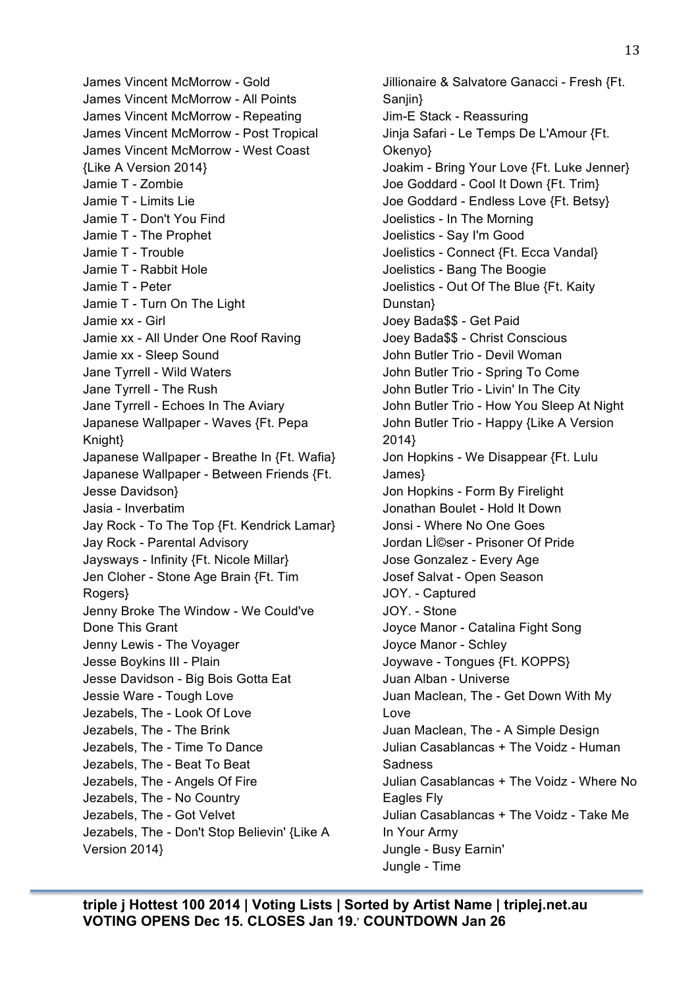James Vincent McMorrow - Gold James Vincent McMorrow - All Points James Vincent McMorrow - Repeating James Vincent McMorrow - Post Tropical James Vincent McMorrow - West Coast {Like A Version 2014} Jamie T - Zombie Jamie T - Limits Lie Jamie T - Don't You Find Jamie T - The Prophet Jamie T - Trouble Jamie T - Rabbit Hole Jamie T - Peter Jamie T - Turn On The Light Jamie xx - Girl Jamie xx - All Under One Roof Raving Jamie xx - Sleep Sound Jane Tyrrell - Wild Waters Jane Tyrrell - The Rush Jane Tyrrell - Echoes In The Aviary Japanese Wallpaper - Waves {Ft. Pepa Knight} Japanese Wallpaper - Breathe In {Ft. Wafia} Japanese Wallpaper - Between Friends {Ft. Jesse Davidson} Jasia - Inverbatim Jay Rock - To The Top {Ft. Kendrick Lamar} Jay Rock - Parental Advisory Jaysways - Infinity {Ft. Nicole Millar} Jen Cloher - Stone Age Brain {Ft. Tim Rogers} Jenny Broke The Window - We Could've Done This Grant Jenny Lewis - The Voyager Jesse Boykins III - Plain Jesse Davidson - Big Bois Gotta Eat Jessie Ware - Tough Love Jezabels, The - Look Of Love Jezabels, The - The Brink Jezabels, The - Time To Dance Jezabels, The - Beat To Beat Jezabels, The - Angels Of Fire Jezabels, The - No Country Jezabels, The - Got Velvet Jezabels, The - Don't Stop Believin' {Like A Version 2014}

Jillionaire & Salvatore Ganacci - Fresh {Ft. Sanjin} Jim-E Stack - Reassuring Jinja Safari - Le Temps De L'Amour {Ft. Okenyo} Joakim - Bring Your Love {Ft. Luke Jenner} Joe Goddard - Cool It Down {Ft. Trim} Joe Goddard - Endless Love {Ft. Betsy} Joelistics - In The Morning Joelistics - Say I'm Good Joelistics - Connect {Ft. Ecca Vandal} Joelistics - Bang The Boogie Joelistics - Out Of The Blue {Ft. Kaity Dunstan} Joey Bada\$\$ - Get Paid Joey Bada\$\$ - Christ Conscious John Butler Trio - Devil Woman John Butler Trio - Spring To Come John Butler Trio - Livin' In The City John Butler Trio - How You Sleep At Night John Butler Trio - Happy {Like A Version 2014} Jon Hopkins - We Disappear {Ft. Lulu James} Jon Hopkins - Form By Firelight Jonathan Boulet - Hold It Down Jonsi - Where No One Goes Jordan LI©ser - Prisoner Of Pride Jose Gonzalez - Every Age Josef Salvat - Open Season JOY. - Captured JOY. - Stone Joyce Manor - Catalina Fight Song Joyce Manor - Schley Joywave - Tongues {Ft. KOPPS} Juan Alban - Universe Juan Maclean, The - Get Down With My Love Juan Maclean, The - A Simple Design Julian Casablancas + The Voidz - Human Sadness Julian Casablancas + The Voidz - Where No Eagles Fly Julian Casablancas + The Voidz - Take Me In Your Army Jungle - Busy Earnin' Jungle - Time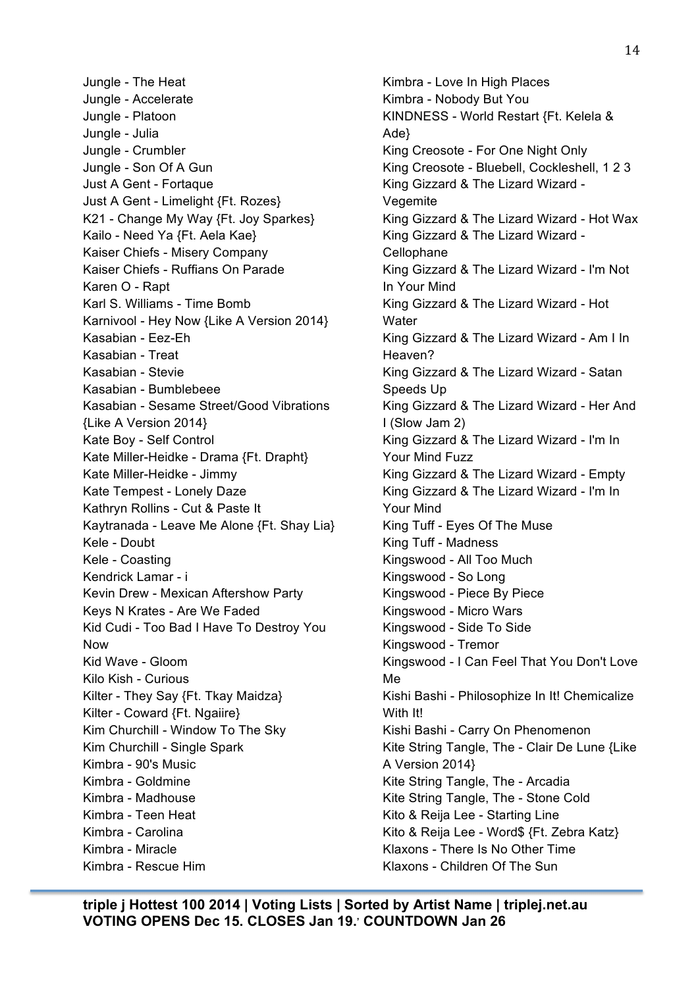Jungle - The Heat Jungle - Accelerate Jungle - Platoon Jungle - Julia Jungle - Crumbler Jungle - Son Of A Gun Just A Gent - Fortaque Just A Gent - Limelight {Ft. Rozes} K21 - Change My Way {Ft. Joy Sparkes} Kailo - Need Ya {Ft. Aela Kae} Kaiser Chiefs - Misery Company Kaiser Chiefs - Ruffians On Parade Karen O - Rapt Karl S. Williams - Time Bomb Karnivool - Hey Now {Like A Version 2014} Kasabian - Eez-Eh Kasabian - Treat Kasabian - Stevie Kasabian - Bumblebeee Kasabian - Sesame Street/Good Vibrations {Like A Version 2014} Kate Boy - Self Control Kate Miller-Heidke - Drama {Ft. Drapht} Kate Miller-Heidke - Jimmy Kate Tempest - Lonely Daze Kathryn Rollins - Cut & Paste It Kaytranada - Leave Me Alone {Ft. Shay Lia} Kele - Doubt Kele - Coasting Kendrick Lamar - i Kevin Drew - Mexican Aftershow Party Keys N Krates - Are We Faded Kid Cudi - Too Bad I Have To Destroy You Now Kid Wave - Gloom Kilo Kish - Curious Kilter - They Say {Ft. Tkay Maidza} Kilter - Coward {Ft. Ngaiire} Kim Churchill - Window To The Sky Kim Churchill - Single Spark Kimbra - 90's Music Kimbra - Goldmine Kimbra - Madhouse Kimbra - Teen Heat Kimbra - Carolina Kimbra - Miracle Kimbra - Rescue Him

Kimbra - Love In High Places Kimbra - Nobody But You KINDNESS - World Restart {Ft. Kelela & Ade} King Creosote - For One Night Only King Creosote - Bluebell, Cockleshell, 1 2 3 King Gizzard & The Lizard Wizard - **Vegemite** King Gizzard & The Lizard Wizard - Hot Wax King Gizzard & The Lizard Wizard - **Cellophane** King Gizzard & The Lizard Wizard - I'm Not In Your Mind King Gizzard & The Lizard Wizard - Hot **Water** King Gizzard & The Lizard Wizard - Am I In Heaven? King Gizzard & The Lizard Wizard - Satan Speeds Up King Gizzard & The Lizard Wizard - Her And I (Slow Jam 2) King Gizzard & The Lizard Wizard - I'm In Your Mind Fuzz King Gizzard & The Lizard Wizard - Empty King Gizzard & The Lizard Wizard - I'm In Your Mind King Tuff - Eyes Of The Muse King Tuff - Madness Kingswood - All Too Much Kingswood - So Long Kingswood - Piece By Piece Kingswood - Micro Wars Kingswood - Side To Side Kingswood - Tremor Kingswood - I Can Feel That You Don't Love Me Kishi Bashi - Philosophize In It! Chemicalize With It! Kishi Bashi - Carry On Phenomenon Kite String Tangle, The - Clair De Lune {Like A Version 2014} Kite String Tangle, The - Arcadia Kite String Tangle, The - Stone Cold Kito & Reija Lee - Starting Line Kito & Reija Lee - Word\$ {Ft. Zebra Katz} Klaxons - There Is No Other Time Klaxons - Children Of The Sun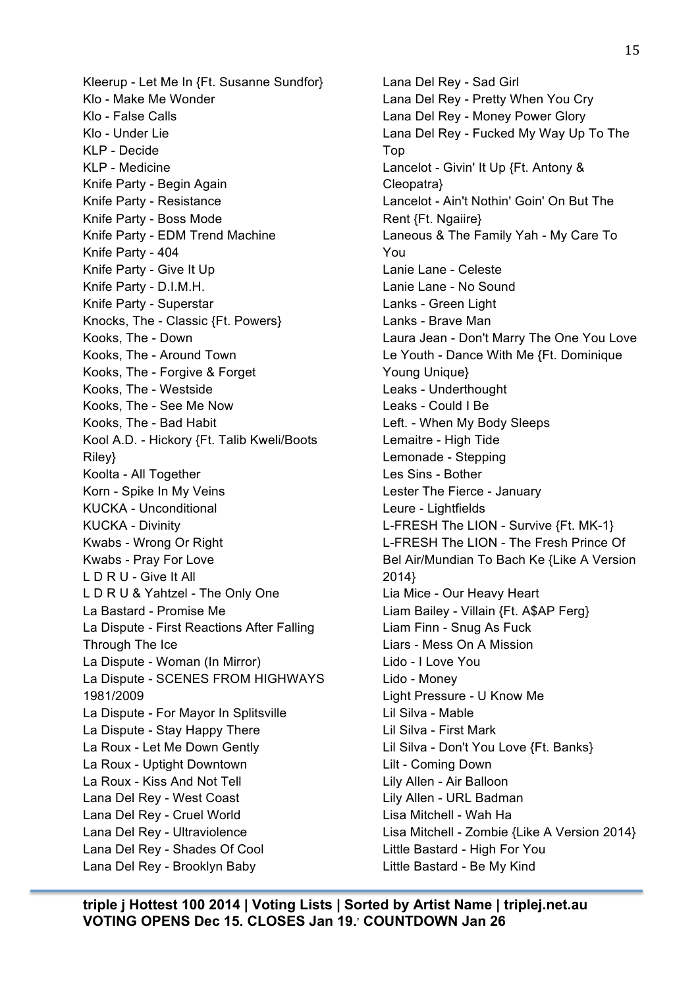Kleerup - Let Me In {Ft. Susanne Sundfor} Klo - Make Me Wonder Klo - False Calls Klo - Under Lie KLP - Decide KLP - Medicine Knife Party - Begin Again Knife Party - Resistance Knife Party - Boss Mode Knife Party - EDM Trend Machine Knife Party - 404 Knife Party - Give It Up Knife Party - D.I.M.H. Knife Party - Superstar Knocks, The - Classic {Ft. Powers} Kooks, The - Down Kooks, The - Around Town Kooks, The - Forgive & Forget Kooks, The - Westside Kooks, The - See Me Now Kooks, The - Bad Habit Kool A.D. - Hickory {Ft. Talib Kweli/Boots Riley} Koolta - All Together Korn - Spike In My Veins KUCKA - Unconditional KUCKA - Divinity Kwabs - Wrong Or Right Kwabs - Pray For Love L D R U - Give It All L D R U & Yahtzel - The Only One La Bastard - Promise Me La Dispute - First Reactions After Falling Through The Ice La Dispute - Woman (In Mirror) La Dispute - SCENES FROM HIGHWAYS 1981/2009 La Dispute - For Mayor In Splitsville La Dispute - Stay Happy There La Roux - Let Me Down Gently La Roux - Uptight Downtown La Roux - Kiss And Not Tell Lana Del Rey - West Coast Lana Del Rey - Cruel World Lana Del Rey - Ultraviolence Lana Del Rey - Shades Of Cool Lana Del Rey - Brooklyn Baby

Lana Del Rey - Sad Girl Lana Del Rey - Pretty When You Cry Lana Del Rey - Money Power Glory Lana Del Rey - Fucked My Way Up To The Top Lancelot - Givin' It Up {Ft. Antony & Cleopatra} Lancelot - Ain't Nothin' Goin' On But The Rent {Ft. Ngaiire} Laneous & The Family Yah - My Care To You Lanie Lane - Celeste Lanie Lane - No Sound Lanks - Green Light Lanks - Brave Man Laura Jean - Don't Marry The One You Love Le Youth - Dance With Me {Ft. Dominique Young Unique} Leaks - Underthought Leaks - Could I Be Left. - When My Body Sleeps Lemaitre - High Tide Lemonade - Stepping Les Sins - Bother Lester The Fierce - January Leure - Lightfields L-FRESH The LION - Survive {Ft. MK-1} L-FRESH The LION - The Fresh Prince Of Bel Air/Mundian To Bach Ke {Like A Version 2014} Lia Mice - Our Heavy Heart Liam Bailey - Villain {Ft. A\$AP Ferg} Liam Finn - Snug As Fuck Liars - Mess On A Mission Lido - I Love You Lido - Money Light Pressure - U Know Me Lil Silva - Mable Lil Silva - First Mark Lil Silva - Don't You Love {Ft. Banks} Lilt - Coming Down Lily Allen - Air Balloon Lily Allen - URL Badman Lisa Mitchell - Wah Ha Lisa Mitchell - Zombie {Like A Version 2014} Little Bastard - High For You Little Bastard - Be My Kind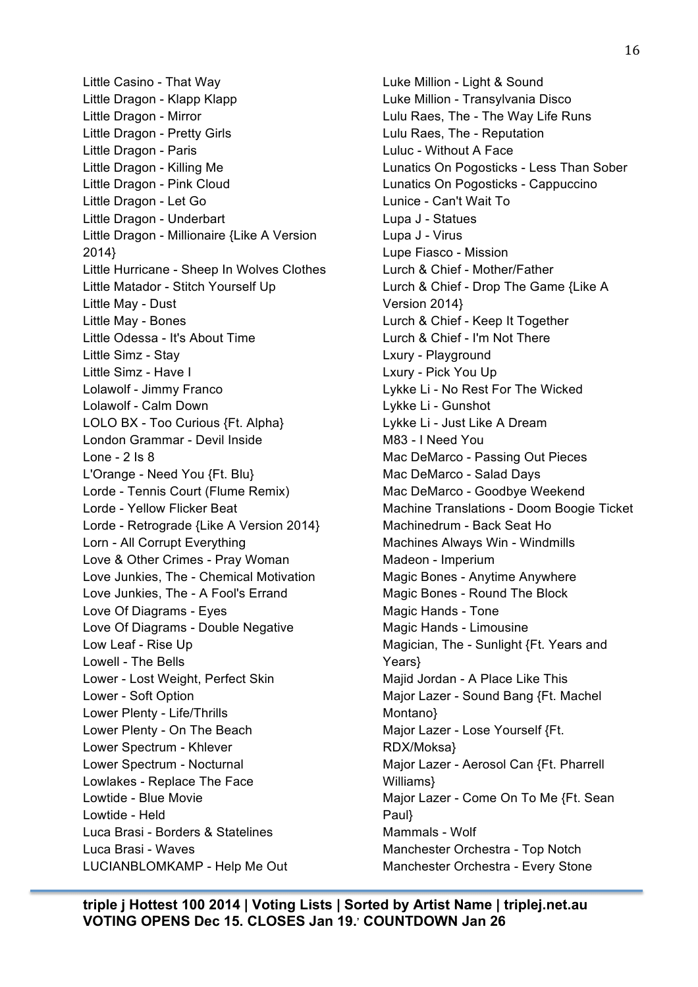Little Casino - That Way Little Dragon - Klapp Klapp Little Dragon - Mirror Little Dragon - Pretty Girls Little Dragon - Paris Little Dragon - Killing Me Little Dragon - Pink Cloud Little Dragon - Let Go Little Dragon - Underbart Little Dragon - Millionaire {Like A Version 2014} Little Hurricane - Sheep In Wolves Clothes Little Matador - Stitch Yourself Up Little May - Dust Little May - Bones Little Odessa - It's About Time Little Simz - Stay Little Simz - Have I Lolawolf - Jimmy Franco Lolawolf - Calm Down LOLO BX - Too Curious {Ft. Alpha} London Grammar - Devil Inside Lone - 2 Is 8 L'Orange - Need You {Ft. Blu} Lorde - Tennis Court (Flume Remix) Lorde - Yellow Flicker Beat Lorde - Retrograde {Like A Version 2014} Lorn - All Corrupt Everything Love & Other Crimes - Pray Woman Love Junkies, The - Chemical Motivation Love Junkies, The - A Fool's Errand Love Of Diagrams - Eyes Love Of Diagrams - Double Negative Low Leaf - Rise Up Lowell - The Bells Lower - Lost Weight, Perfect Skin Lower - Soft Option Lower Plenty - Life/Thrills Lower Plenty - On The Beach Lower Spectrum - Khlever Lower Spectrum - Nocturnal Lowlakes - Replace The Face Lowtide - Blue Movie Lowtide - Held Luca Brasi - Borders & Statelines Luca Brasi - Waves LUCIANBLOMKAMP - Help Me Out

Luke Million - Light & Sound Luke Million - Transylvania Disco Lulu Raes, The - The Way Life Runs Lulu Raes, The - Reputation Luluc - Without A Face Lunatics On Pogosticks - Less Than Sober Lunatics On Pogosticks - Cappuccino Lunice - Can't Wait To Lupa J - Statues Lupa J - Virus Lupe Fiasco - Mission Lurch & Chief - Mother/Father Lurch & Chief - Drop The Game {Like A Version 2014} Lurch & Chief - Keep It Together Lurch & Chief - I'm Not There Lxury - Playground Lxury - Pick You Up Lykke Li - No Rest For The Wicked Lykke Li - Gunshot Lykke Li - Just Like A Dream M83 - I Need You Mac DeMarco - Passing Out Pieces Mac DeMarco - Salad Days Mac DeMarco - Goodbye Weekend Machine Translations - Doom Boogie Ticket Machinedrum - Back Seat Ho Machines Always Win - Windmills Madeon - Imperium Magic Bones - Anytime Anywhere Magic Bones - Round The Block Magic Hands - Tone Magic Hands - Limousine Magician, The - Sunlight {Ft. Years and Years} Majid Jordan - A Place Like This Major Lazer - Sound Bang {Ft. Machel Montano} Major Lazer - Lose Yourself {Ft. RDX/Moksa} Major Lazer - Aerosol Can {Ft. Pharrell Williams} Major Lazer - Come On To Me {Ft. Sean Paul} Mammals - Wolf Manchester Orchestra - Top Notch Manchester Orchestra - Every Stone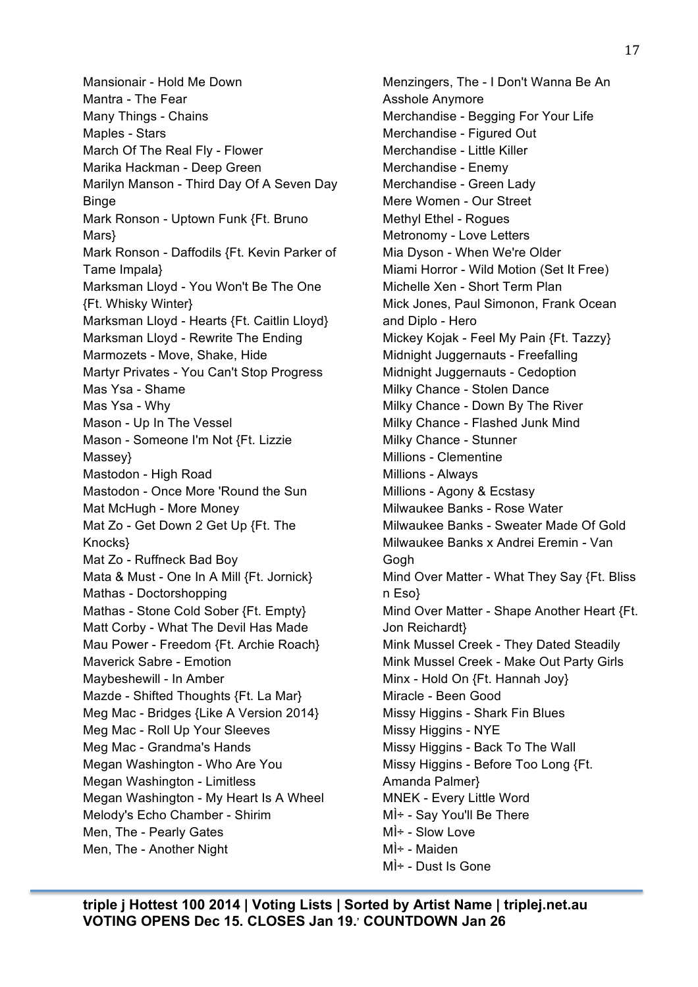Mansionair - Hold Me Down Mantra - The Fear Many Things - Chains Maples - Stars March Of The Real Fly - Flower Marika Hackman - Deep Green Marilyn Manson - Third Day Of A Seven Day **Binge** Mark Ronson - Uptown Funk {Ft. Bruno Mars} Mark Ronson - Daffodils {Ft. Kevin Parker of Tame Impala} Marksman Lloyd - You Won't Be The One {Ft. Whisky Winter} Marksman Lloyd - Hearts {Ft. Caitlin Lloyd} Marksman Lloyd - Rewrite The Ending Marmozets - Move, Shake, Hide Martyr Privates - You Can't Stop Progress Mas Ysa - Shame Mas Ysa - Why Mason - Up In The Vessel Mason - Someone I'm Not {Ft. Lizzie Massey} Mastodon - High Road Mastodon - Once More 'Round the Sun Mat McHugh - More Money Mat Zo - Get Down 2 Get Up {Ft. The Knocks} Mat Zo - Ruffneck Bad Boy Mata & Must - One In A Mill {Ft. Jornick} Mathas - Doctorshopping Mathas - Stone Cold Sober {Ft. Empty} Matt Corby - What The Devil Has Made Mau Power - Freedom {Ft. Archie Roach} Maverick Sabre - Emotion Maybeshewill - In Amber Mazde - Shifted Thoughts {Ft. La Mar} Meg Mac - Bridges {Like A Version 2014} Meg Mac - Roll Up Your Sleeves Meg Mac - Grandma's Hands Megan Washington - Who Are You Megan Washington - Limitless Megan Washington - My Heart Is A Wheel Melody's Echo Chamber - Shirim Men, The - Pearly Gates Men, The - Another Night

Menzingers, The - I Don't Wanna Be An Asshole Anymore Merchandise - Begging For Your Life Merchandise - Figured Out Merchandise - Little Killer Merchandise - Enemy Merchandise - Green Lady Mere Women - Our Street Methyl Ethel - Rogues Metronomy - Love Letters Mia Dyson - When We're Older Miami Horror - Wild Motion (Set It Free) Michelle Xen - Short Term Plan Mick Jones, Paul Simonon, Frank Ocean and Diplo - Hero Mickey Kojak - Feel My Pain {Ft. Tazzy} Midnight Juggernauts - Freefalling Midnight Juggernauts - Cedoption Milky Chance - Stolen Dance Milky Chance - Down By The River Milky Chance - Flashed Junk Mind Milky Chance - Stunner Millions - Clementine Millions - Always Millions - Agony & Ecstasy Milwaukee Banks - Rose Water Milwaukee Banks - Sweater Made Of Gold Milwaukee Banks x Andrei Eremin - Van **Gogh** Mind Over Matter - What They Say {Ft. Bliss n Eso} Mind Over Matter - Shape Another Heart {Ft. Jon Reichardt} Mink Mussel Creek - They Dated Steadily Mink Mussel Creek - Make Out Party Girls Minx - Hold On {Ft. Hannah Joy} Miracle - Been Good Missy Higgins - Shark Fin Blues Missy Higgins - NYE Missy Higgins - Back To The Wall Missy Higgins - Before Too Long {Ft. Amanda Palmer} MNEK - Every Little Word MÌ÷ - Say You'll Be There MÌ÷ - Slow Love MÌ÷ - Maiden MÌ÷ - Dust Is Gone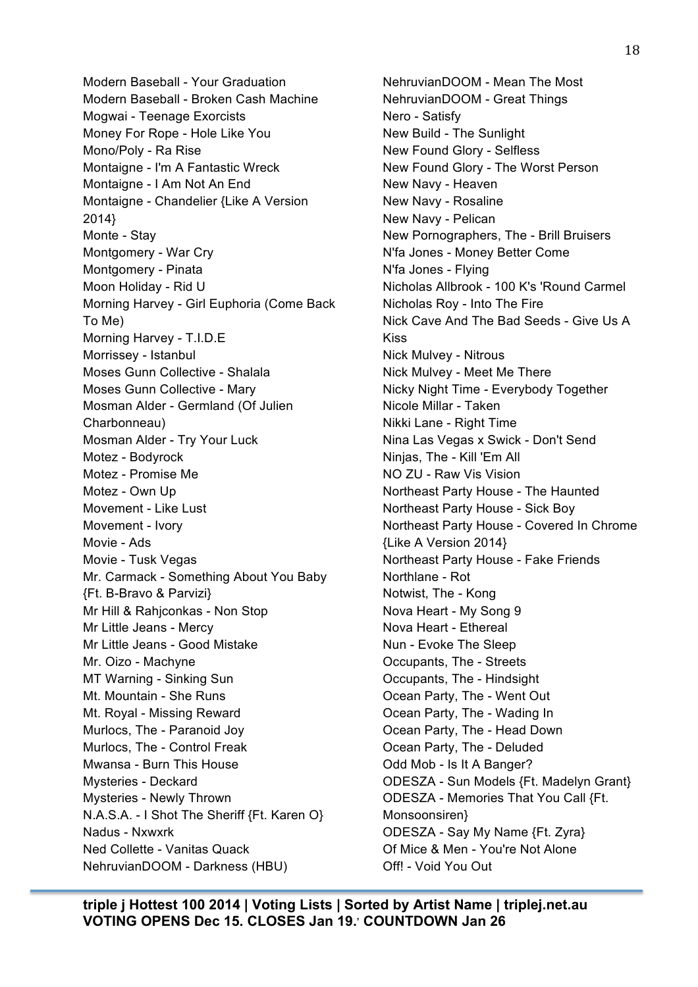Modern Baseball - Your Graduation Modern Baseball - Broken Cash Machine Mogwai - Teenage Exorcists Money For Rope - Hole Like You Mono/Poly - Ra Rise Montaigne - I'm A Fantastic Wreck Montaigne - I Am Not An End Montaigne - Chandelier {Like A Version 2014} Monte - Stay Montgomery - War Cry Montgomery - Pinata Moon Holiday - Rid U Morning Harvey - Girl Euphoria (Come Back To Me) Morning Harvey - T.I.D.E Morrissey - Istanbul Moses Gunn Collective - Shalala Moses Gunn Collective - Mary Mosman Alder - Germland (Of Julien Charbonneau) Mosman Alder - Try Your Luck Motez - Bodyrock Motez - Promise Me Motez - Own Up Movement - Like Lust Movement - Ivory Movie - Ads Movie - Tusk Vegas Mr. Carmack - Something About You Baby {Ft. B-Bravo & Parvizi} Mr Hill & Rahjconkas - Non Stop Mr Little Jeans - Mercy Mr Little Jeans - Good Mistake Mr. Oizo - Machyne MT Warning - Sinking Sun Mt. Mountain - She Runs Mt. Royal - Missing Reward Murlocs, The - Paranoid Joy Murlocs, The - Control Freak Mwansa - Burn This House Mysteries - Deckard Mysteries - Newly Thrown N.A.S.A. - I Shot The Sheriff {Ft. Karen O} Nadus - Nxwxrk Ned Collette - Vanitas Quack NehruvianDOOM - Darkness (HBU)

NehruvianDOOM - Mean The Most NehruvianDOOM - Great Things Nero - Satisfy New Build - The Sunlight New Found Glory - Selfless New Found Glory - The Worst Person New Navy - Heaven New Navy - Rosaline New Navy - Pelican New Pornographers, The - Brill Bruisers N'fa Jones - Money Better Come N'fa Jones - Flying Nicholas Allbrook - 100 K's 'Round Carmel Nicholas Roy - Into The Fire Nick Cave And The Bad Seeds - Give Us A Kiss Nick Mulvey - Nitrous Nick Mulvey - Meet Me There Nicky Night Time - Everybody Together Nicole Millar - Taken Nikki Lane - Right Time Nina Las Vegas x Swick - Don't Send Ninjas, The - Kill 'Em All NO ZU - Raw Vis Vision Northeast Party House - The Haunted Northeast Party House - Sick Boy Northeast Party House - Covered In Chrome {Like A Version 2014} Northeast Party House - Fake Friends Northlane - Rot Notwist, The - Kong Nova Heart - My Song 9 Nova Heart - Ethereal Nun - Evoke The Sleep Occupants, The - Streets Occupants, The - Hindsight Ocean Party, The - Went Out Ocean Party, The - Wading In Ocean Party, The - Head Down Ocean Party, The - Deluded Odd Mob - Is It A Banger? ODESZA - Sun Models {Ft. Madelyn Grant} ODESZA - Memories That You Call {Ft. Monsoonsiren} ODESZA - Say My Name {Ft. Zyra} Of Mice & Men - You're Not Alone Off! - Void You Out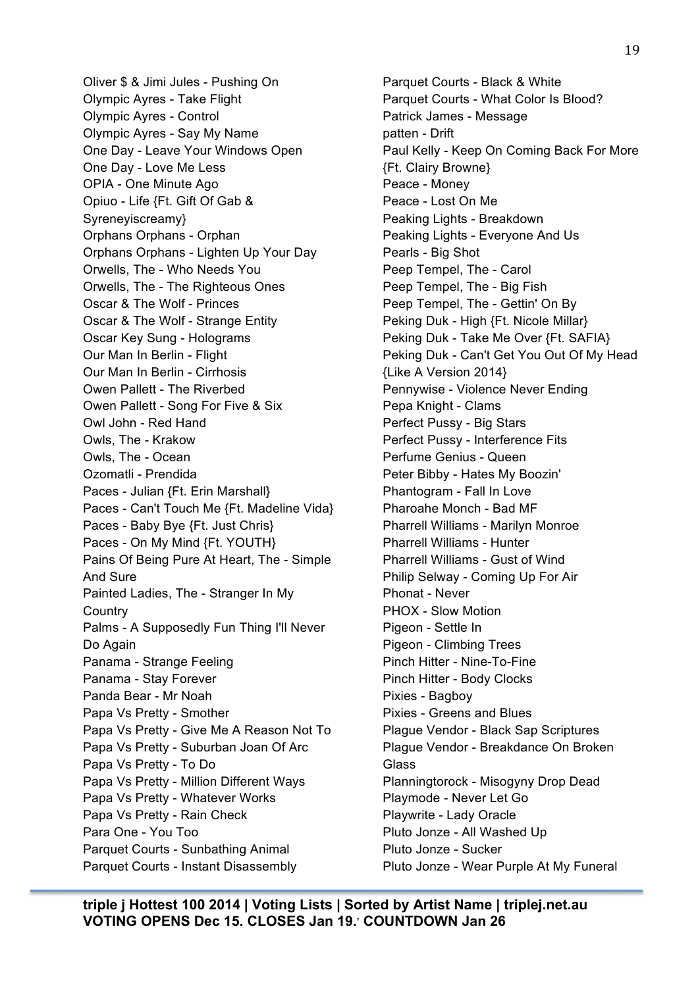Oliver \$ & Jimi Jules - Pushing On Olympic Ayres - Take Flight Olympic Ayres - Control Olympic Ayres - Say My Name One Day - Leave Your Windows Open One Day - Love Me Less OPIA - One Minute Ago Opiuo - Life {Ft. Gift Of Gab & Syreneyiscreamy} Orphans Orphans - Orphan Orphans Orphans - Lighten Up Your Day Orwells, The - Who Needs You Orwells, The - The Righteous Ones Oscar & The Wolf - Princes Oscar & The Wolf - Strange Entity Oscar Key Sung - Holograms Our Man In Berlin - Flight Our Man In Berlin - Cirrhosis Owen Pallett - The Riverbed Owen Pallett - Song For Five & Six Owl John - Red Hand Owls, The - Krakow Owls, The - Ocean Ozomatli - Prendida Paces - Julian {Ft. Erin Marshall} Paces - Can't Touch Me {Ft. Madeline Vida} Paces - Baby Bye {Ft. Just Chris} Paces - On My Mind {Ft. YOUTH} Pains Of Being Pure At Heart, The - Simple And Sure Painted Ladies, The - Stranger In My **Country** Palms - A Supposedly Fun Thing I'll Never Do Again Panama - Strange Feeling Panama - Stay Forever Panda Bear - Mr Noah Papa Vs Pretty - Smother Papa Vs Pretty - Give Me A Reason Not To Papa Vs Pretty - Suburban Joan Of Arc Papa Vs Pretty - To Do Papa Vs Pretty - Million Different Ways Papa Vs Pretty - Whatever Works Papa Vs Pretty - Rain Check Para One - You Too Parquet Courts - Sunbathing Animal Parquet Courts - Instant Disassembly

Parquet Courts - Black & White Parquet Courts - What Color Is Blood? Patrick James - Message patten - Drift Paul Kelly - Keep On Coming Back For More {Ft. Clairy Browne} Peace - Money Peace - Lost On Me Peaking Lights - Breakdown Peaking Lights - Everyone And Us Pearls - Big Shot Peep Tempel, The - Carol Peep Tempel, The - Big Fish Peep Tempel, The - Gettin' On By Peking Duk - High {Ft. Nicole Millar} Peking Duk - Take Me Over {Ft. SAFIA} Peking Duk - Can't Get You Out Of My Head {Like A Version 2014} Pennywise - Violence Never Ending Pepa Knight - Clams Perfect Pussy - Big Stars Perfect Pussy - Interference Fits Perfume Genius - Queen Peter Bibby - Hates My Boozin' Phantogram - Fall In Love Pharoahe Monch - Bad MF Pharrell Williams - Marilyn Monroe Pharrell Williams - Hunter Pharrell Williams - Gust of Wind Philip Selway - Coming Up For Air Phonat - Never PHOX - Slow Motion Pigeon - Settle In Pigeon - Climbing Trees Pinch Hitter - Nine-To-Fine Pinch Hitter - Body Clocks Pixies - Bagboy Pixies - Greens and Blues Plague Vendor - Black Sap Scriptures Plague Vendor - Breakdance On Broken Glass Planningtorock - Misogyny Drop Dead Playmode - Never Let Go Playwrite - Lady Oracle Pluto Jonze - All Washed Up Pluto Jonze - Sucker Pluto Jonze - Wear Purple At My Funeral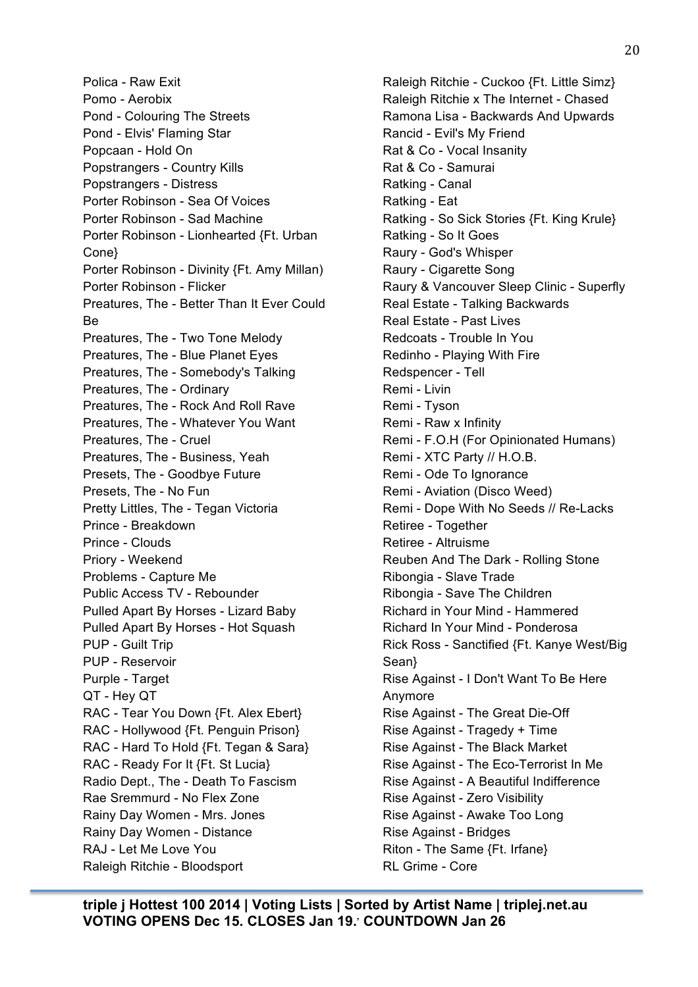Polica - Raw Exit Pomo - Aerobix Pond - Colouring The Streets Pond - Elvis' Flaming Star Popcaan - Hold On Popstrangers - Country Kills Popstrangers - Distress Porter Robinson - Sea Of Voices Porter Robinson - Sad Machine Porter Robinson - Lionhearted {Ft. Urban Cone} Porter Robinson - Divinity {Ft. Amy Millan) Porter Robinson - Flicker Preatures, The - Better Than It Ever Could Be Preatures, The - Two Tone Melody Preatures, The - Blue Planet Eyes Preatures, The - Somebody's Talking Preatures, The - Ordinary Preatures, The - Rock And Roll Rave Preatures, The - Whatever You Want Preatures, The - Cruel Preatures, The - Business, Yeah Presets, The - Goodbye Future Presets, The - No Fun Pretty Littles, The - Tegan Victoria Prince - Breakdown Prince - Clouds Priory - Weekend Problems - Capture Me Public Access TV - Rebounder Pulled Apart By Horses - Lizard Baby Pulled Apart By Horses - Hot Squash PUP - Guilt Trip PUP - Reservoir Purple - Target QT - Hey QT RAC - Tear You Down {Ft. Alex Ebert} RAC - Hollywood {Ft. Penguin Prison} RAC - Hard To Hold {Ft. Tegan & Sara} RAC - Ready For It {Ft. St Lucia} Radio Dept., The - Death To Fascism Rae Sremmurd - No Flex Zone Rainy Day Women - Mrs. Jones Rainy Day Women - Distance RAJ - Let Me Love You Raleigh Ritchie - Bloodsport

Raleigh Ritchie - Cuckoo {Ft. Little Simz} Raleigh Ritchie x The Internet - Chased Ramona Lisa - Backwards And Upwards Rancid - Evil's My Friend Rat & Co - Vocal Insanity Rat & Co - Samurai Ratking - Canal Ratking - Eat Ratking - So Sick Stories {Ft. King Krule} Ratking - So It Goes Raury - God's Whisper Raury - Cigarette Song Raury & Vancouver Sleep Clinic - Superfly Real Estate - Talking Backwards Real Estate - Past Lives Redcoats - Trouble In You Redinho - Playing With Fire Redspencer - Tell Remi - Livin Remi - Tyson Remi - Raw x Infinity Remi - F.O.H (For Opinionated Humans) Remi - XTC Party // H.O.B. Remi - Ode To Ignorance Remi - Aviation (Disco Weed) Remi - Dope With No Seeds // Re-Lacks Retiree - Together Retiree - Altruisme Reuben And The Dark - Rolling Stone Ribongia - Slave Trade Ribongia - Save The Children Richard in Your Mind - Hammered Richard In Your Mind - Ponderosa Rick Ross - Sanctified {Ft. Kanye West/Big Sean} Rise Against - I Don't Want To Be Here Anymore Rise Against - The Great Die-Off Rise Against - Tragedy + Time Rise Against - The Black Market Rise Against - The Eco-Terrorist In Me Rise Against - A Beautiful Indifference Rise Against - Zero Visibility Rise Against - Awake Too Long Rise Against - Bridges Riton - The Same {Ft. Irfane} RL Grime - Core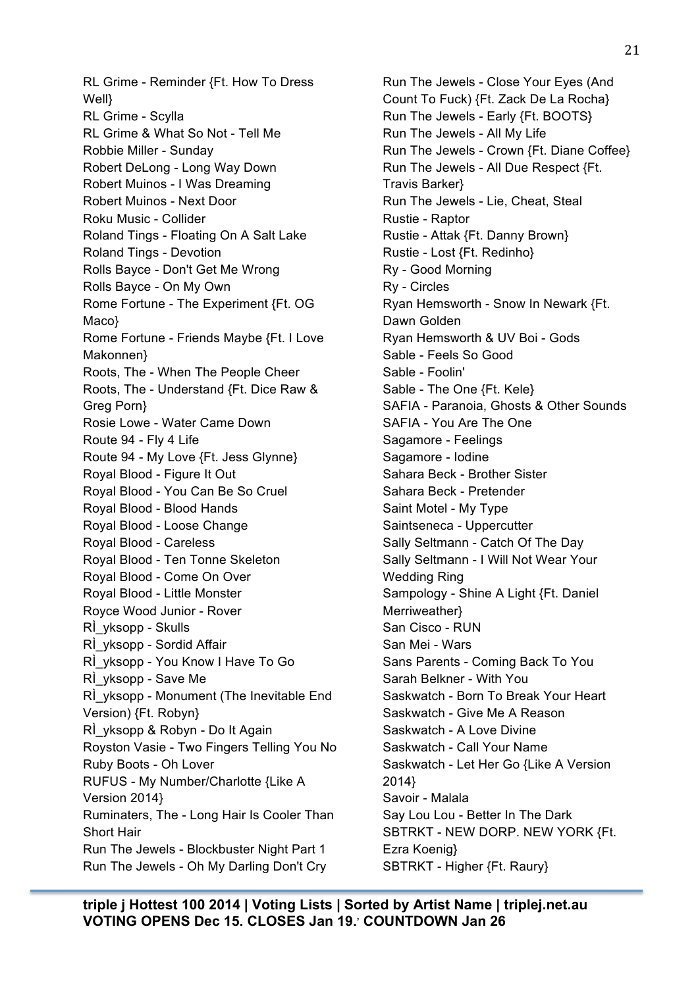RL Grime - Reminder {Ft. How To Dress Well} RL Grime - Scylla RL Grime & What So Not - Tell Me Robbie Miller - Sunday Robert DeLong - Long Way Down Robert Muinos - I Was Dreaming Robert Muinos - Next Door Roku Music - Collider Roland Tings - Floating On A Salt Lake Roland Tings - Devotion Rolls Bayce - Don't Get Me Wrong Rolls Bayce - On My Own Rome Fortune - The Experiment {Ft. OG Maco} Rome Fortune - Friends Maybe {Ft. I Love Makonnen} Roots, The - When The People Cheer Roots, The - Understand {Ft. Dice Raw & Greg Porn} Rosie Lowe - Water Came Down Route 94 - Fly 4 Life Route 94 - My Love {Ft. Jess Glynne} Royal Blood - Figure It Out Royal Blood - You Can Be So Cruel Royal Blood - Blood Hands Royal Blood - Loose Change Royal Blood - Careless Royal Blood - Ten Tonne Skeleton Royal Blood - Come On Over Royal Blood - Little Monster Royce Wood Junior - Rover RÌ\_yksopp - Skulls RÌ\_yksopp - Sordid Affair RÌ\_yksopp - You Know I Have To Go RÌ\_yksopp - Save Me RÌ\_yksopp - Monument (The Inevitable End Version) {Ft. Robyn} RÌ\_yksopp & Robyn - Do It Again Royston Vasie - Two Fingers Telling You No Ruby Boots - Oh Lover RUFUS - My Number/Charlotte {Like A Version 2014} Ruminaters, The - Long Hair Is Cooler Than Short Hair Run The Jewels - Blockbuster Night Part 1 Run The Jewels - Oh My Darling Don't Cry

Run The Jewels - Close Your Eyes (And Count To Fuck) {Ft. Zack De La Rocha} Run The Jewels - Early {Ft. BOOTS} Run The Jewels - All My Life Run The Jewels - Crown {Ft. Diane Coffee} Run The Jewels - All Due Respect {Ft. Travis Barker} Run The Jewels - Lie, Cheat, Steal Rustie - Raptor Rustie - Attak {Ft. Danny Brown} Rustie - Lost {Ft. Redinho} Ry - Good Morning Ry - Circles Ryan Hemsworth - Snow In Newark {Ft. Dawn Golden Ryan Hemsworth & UV Boi - Gods Sable - Feels So Good Sable - Foolin' Sable - The One {Ft. Kele} SAFIA - Paranoia, Ghosts & Other Sounds SAFIA - You Are The One Sagamore - Feelings Sagamore - Iodine Sahara Beck - Brother Sister Sahara Beck - Pretender Saint Motel - My Type Saintseneca - Uppercutter Sally Seltmann - Catch Of The Day Sally Seltmann - I Will Not Wear Your Wedding Ring Sampology - Shine A Light {Ft. Daniel Merriweather} San Cisco - RUN San Mei - Wars Sans Parents - Coming Back To You Sarah Belkner - With You Saskwatch - Born To Break Your Heart Saskwatch - Give Me A Reason Saskwatch - A Love Divine Saskwatch - Call Your Name Saskwatch - Let Her Go {Like A Version 2014} Savoir - Malala Say Lou Lou - Better In The Dark SBTRKT - NEW DORP. NEW YORK {Ft. Ezra Koenig} SBTRKT - Higher {Ft. Raury}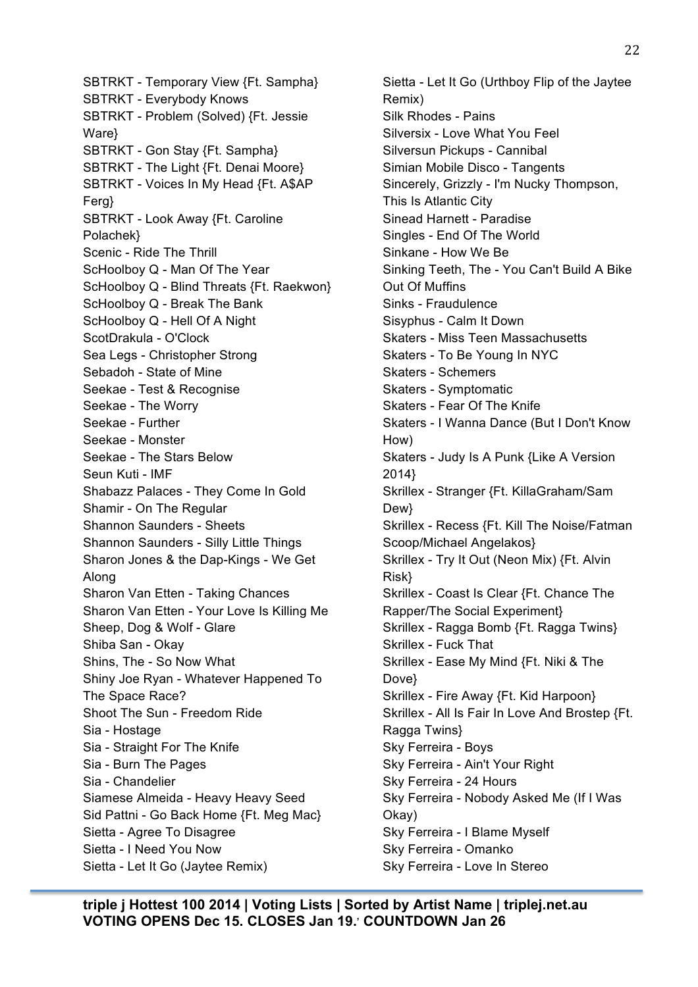SBTRKT - Temporary View {Ft. Sampha} SBTRKT - Everybody Knows SBTRKT - Problem (Solved) {Ft. Jessie Ware} SBTRKT - Gon Stay {Ft. Sampha} SBTRKT - The Light {Ft. Denai Moore} SBTRKT - Voices In My Head {Ft. A\$AP Ferg} SBTRKT - Look Away {Ft. Caroline Polachek} Scenic - Ride The Thrill ScHoolboy Q - Man Of The Year ScHoolboy Q - Blind Threats {Ft. Raekwon} ScHoolboy Q - Break The Bank ScHoolboy Q - Hell Of A Night ScotDrakula - O'Clock Sea Legs - Christopher Strong Sebadoh - State of Mine Seekae - Test & Recognise Seekae - The Worry Seekae - Further Seekae - Monster Seekae - The Stars Below Seun Kuti - IMF Shabazz Palaces - They Come In Gold Shamir - On The Regular Shannon Saunders - Sheets Shannon Saunders - Silly Little Things Sharon Jones & the Dap-Kings - We Get Along Sharon Van Etten - Taking Chances Sharon Van Etten - Your Love Is Killing Me Sheep, Dog & Wolf - Glare Shiba San - Okay Shins, The - So Now What Shiny Joe Ryan - Whatever Happened To The Space Race? Shoot The Sun - Freedom Ride Sia - Hostage Sia - Straight For The Knife Sia - Burn The Pages Sia - Chandelier Siamese Almeida - Heavy Heavy Seed Sid Pattni - Go Back Home {Ft. Meg Mac} Sietta - Agree To Disagree Sietta - I Need You Now Sietta - Let It Go (Jaytee Remix)

Sietta - Let It Go (Urthboy Flip of the Jaytee Remix) Silk Rhodes - Pains Silversix - Love What You Feel Silversun Pickups - Cannibal Simian Mobile Disco - Tangents Sincerely, Grizzly - I'm Nucky Thompson, This Is Atlantic City Sinead Harnett - Paradise Singles - End Of The World Sinkane - How We Be Sinking Teeth, The - You Can't Build A Bike Out Of Muffins Sinks - Fraudulence Sisyphus - Calm It Down Skaters - Miss Teen Massachusetts Skaters - To Be Young In NYC Skaters - Schemers Skaters - Symptomatic Skaters - Fear Of The Knife Skaters - I Wanna Dance (But I Don't Know How) Skaters - Judy Is A Punk {Like A Version 2014} Skrillex - Stranger {Ft. KillaGraham/Sam Dew<sup>}</sup> Skrillex - Recess {Ft. Kill The Noise/Fatman Scoop/Michael Angelakos} Skrillex - Try It Out (Neon Mix) {Ft. Alvin Risk} Skrillex - Coast Is Clear {Ft. Chance The Rapper/The Social Experiment} Skrillex - Ragga Bomb {Ft. Ragga Twins} Skrillex - Fuck That Skrillex - Ease My Mind {Ft. Niki & The Dove} Skrillex - Fire Away {Ft. Kid Harpoon} Skrillex - All Is Fair In Love And Brostep {Ft. Ragga Twins} Sky Ferreira - Boys Sky Ferreira - Ain't Your Right Sky Ferreira - 24 Hours Sky Ferreira - Nobody Asked Me (If I Was Okay) Sky Ferreira - I Blame Myself Sky Ferreira - Omanko Sky Ferreira - Love In Stereo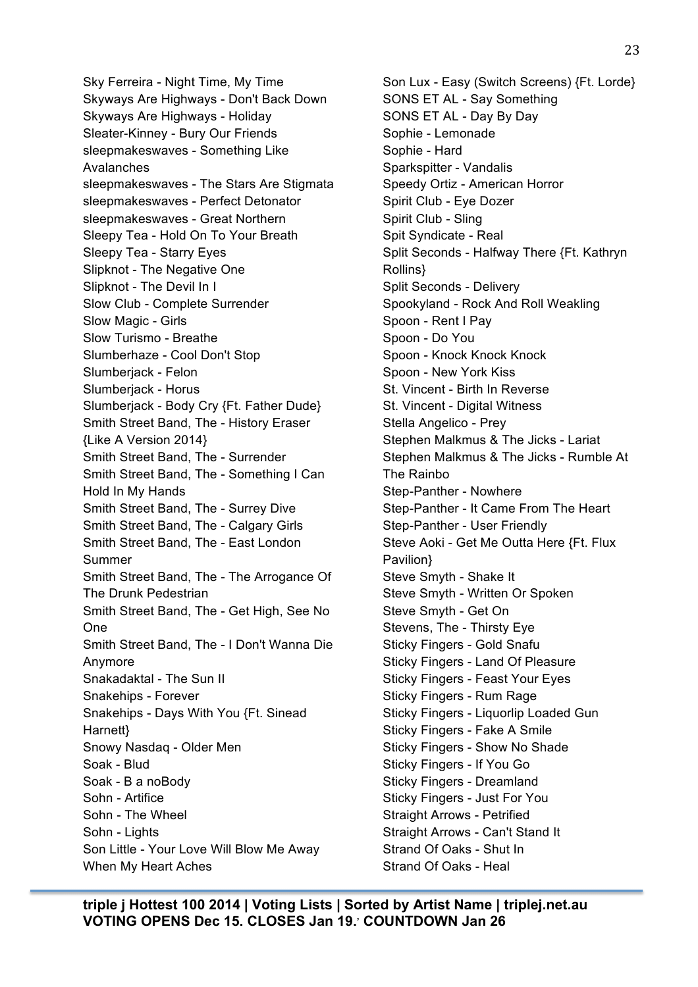Sky Ferreira - Night Time, My Time Skyways Are Highways - Don't Back Down Skyways Are Highways - Holiday Sleater-Kinney - Bury Our Friends sleepmakeswaves - Something Like Avalanches sleepmakeswaves - The Stars Are Stigmata sleepmakeswaves - Perfect Detonator sleepmakeswaves - Great Northern Sleepy Tea - Hold On To Your Breath Sleepy Tea - Starry Eyes Slipknot - The Negative One Slipknot - The Devil In I Slow Club - Complete Surrender Slow Magic - Girls Slow Turismo - Breathe Slumberhaze - Cool Don't Stop Slumberjack - Felon Slumberjack - Horus Slumberjack - Body Cry {Ft. Father Dude} Smith Street Band, The - History Eraser {Like A Version 2014} Smith Street Band, The - Surrender Smith Street Band, The - Something I Can Hold In My Hands Smith Street Band, The - Surrey Dive Smith Street Band, The - Calgary Girls Smith Street Band, The - East London Summer Smith Street Band, The - The Arrogance Of The Drunk Pedestrian Smith Street Band, The - Get High, See No One Smith Street Band, The - I Don't Wanna Die Anymore Snakadaktal - The Sun II Snakehips - Forever Snakehips - Days With You {Ft. Sinead Harnett} Snowy Nasdaq - Older Men Soak - Blud Soak - B a noBody Sohn - Artifice Sohn - The Wheel Sohn - Lights Son Little - Your Love Will Blow Me Away When My Heart Aches

Son Lux - Easy (Switch Screens) {Ft. Lorde} SONS ET AL - Say Something SONS ET AL - Day By Day Sophie - Lemonade Sophie - Hard Sparkspitter - Vandalis Speedy Ortiz - American Horror Spirit Club - Eye Dozer Spirit Club - Sling Spit Syndicate - Real Split Seconds - Halfway There {Ft. Kathryn Rollins} Split Seconds - Delivery Spookyland - Rock And Roll Weakling Spoon - Rent I Pay Spoon - Do You Spoon - Knock Knock Knock Spoon - New York Kiss St. Vincent - Birth In Reverse St. Vincent - Digital Witness Stella Angelico - Prey Stephen Malkmus & The Jicks - Lariat Stephen Malkmus & The Jicks - Rumble At The Rainbo Step-Panther - Nowhere Step-Panther - It Came From The Heart Step-Panther - User Friendly Steve Aoki - Get Me Outta Here {Ft. Flux Pavilion} Steve Smyth - Shake It Steve Smyth - Written Or Spoken Steve Smyth - Get On Stevens, The - Thirsty Eye Sticky Fingers - Gold Snafu Sticky Fingers - Land Of Pleasure Sticky Fingers - Feast Your Eyes Sticky Fingers - Rum Rage Sticky Fingers - Liquorlip Loaded Gun Sticky Fingers - Fake A Smile Sticky Fingers - Show No Shade Sticky Fingers - If You Go Sticky Fingers - Dreamland Sticky Fingers - Just For You Straight Arrows - Petrified Straight Arrows - Can't Stand It Strand Of Oaks - Shut In Strand Of Oaks - Heal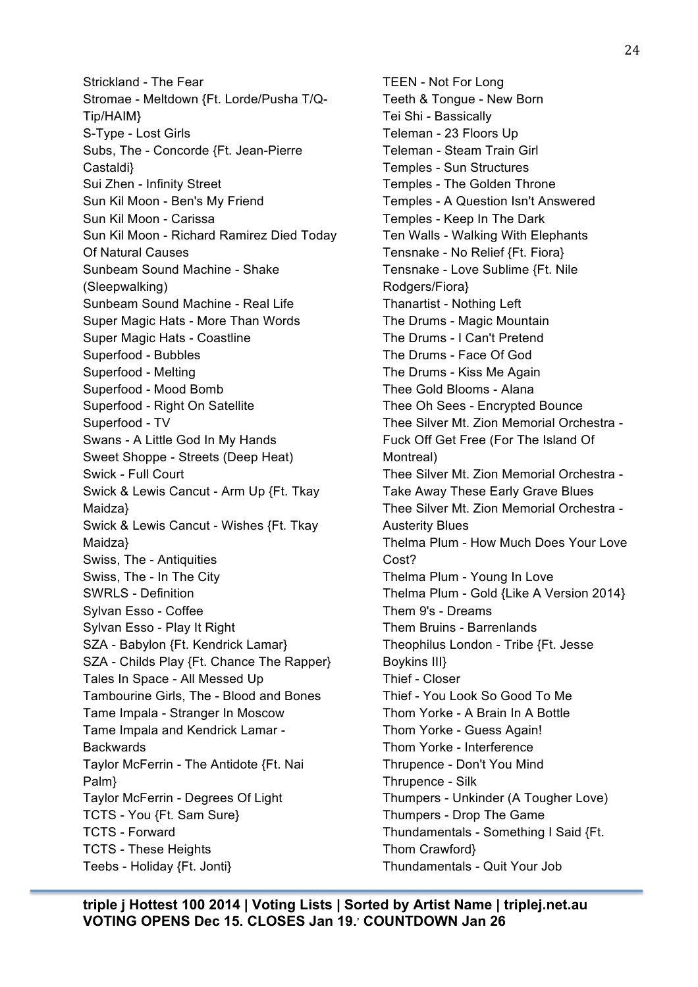Strickland - The Fear Stromae - Meltdown {Ft. Lorde/Pusha T/Q-Tip/HAIM} S-Type - Lost Girls Subs, The - Concorde {Ft. Jean-Pierre Castaldi} Sui Zhen - Infinity Street Sun Kil Moon - Ben's My Friend Sun Kil Moon - Carissa Sun Kil Moon - Richard Ramirez Died Today Of Natural Causes Sunbeam Sound Machine - Shake (Sleepwalking) Sunbeam Sound Machine - Real Life Super Magic Hats - More Than Words Super Magic Hats - Coastline Superfood - Bubbles Superfood - Melting Superfood - Mood Bomb Superfood - Right On Satellite Superfood - TV Swans - A Little God In My Hands Sweet Shoppe - Streets (Deep Heat) Swick - Full Court Swick & Lewis Cancut - Arm Up {Ft. Tkay Maidza} Swick & Lewis Cancut - Wishes {Ft. Tkay Maidza} Swiss, The - Antiquities Swiss, The - In The City SWRLS - Definition Sylvan Esso - Coffee Sylvan Esso - Play It Right SZA - Babylon {Ft. Kendrick Lamar} SZA - Childs Play {Ft. Chance The Rapper} Tales In Space - All Messed Up Tambourine Girls, The - Blood and Bones Tame Impala - Stranger In Moscow Tame Impala and Kendrick Lamar - **Backwards** Taylor McFerrin - The Antidote {Ft. Nai Palm} Taylor McFerrin - Degrees Of Light TCTS - You {Ft. Sam Sure} TCTS - Forward TCTS - These Heights Teebs - Holiday {Ft. Jonti}

TEEN - Not For Long Teeth & Tongue - New Born Tei Shi - Bassically Teleman - 23 Floors Up Teleman - Steam Train Girl Temples - Sun Structures Temples - The Golden Throne Temples - A Question Isn't Answered Temples - Keep In The Dark Ten Walls - Walking With Elephants Tensnake - No Relief {Ft. Fiora} Tensnake - Love Sublime {Ft. Nile Rodgers/Fiora} Thanartist - Nothing Left The Drums - Magic Mountain The Drums - I Can't Pretend The Drums - Face Of God The Drums - Kiss Me Again Thee Gold Blooms - Alana Thee Oh Sees - Encrypted Bounce Thee Silver Mt. Zion Memorial Orchestra - Fuck Off Get Free (For The Island Of Montreal) Thee Silver Mt. Zion Memorial Orchestra - Take Away These Early Grave Blues Thee Silver Mt. Zion Memorial Orchestra - Austerity Blues Thelma Plum - How Much Does Your Love Cost? Thelma Plum - Young In Love Thelma Plum - Gold {Like A Version 2014} Them 9's - Dreams Them Bruins - Barrenlands Theophilus London - Tribe {Ft. Jesse Boykins III} Thief - Closer Thief - You Look So Good To Me Thom Yorke - A Brain In A Bottle Thom Yorke - Guess Again! Thom Yorke - Interference Thrupence - Don't You Mind Thrupence - Silk Thumpers - Unkinder (A Tougher Love) Thumpers - Drop The Game Thundamentals - Something I Said {Ft. Thom Crawford} Thundamentals - Quit Your Job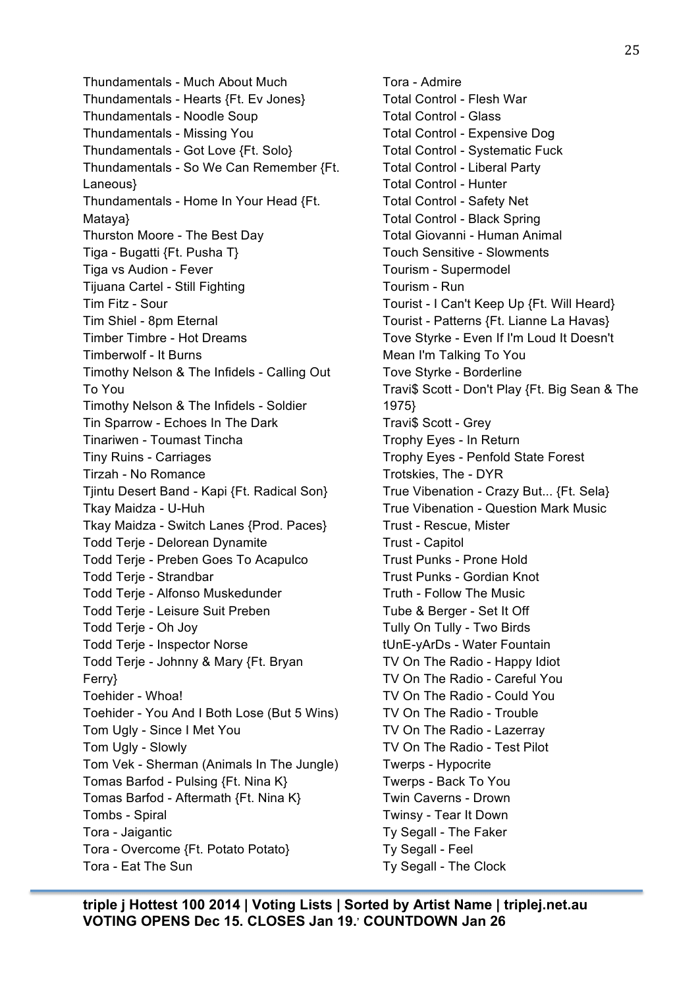Thundamentals - Much About Much Thundamentals - Hearts {Ft. Ev Jones} Thundamentals - Noodle Soup Thundamentals - Missing You Thundamentals - Got Love {Ft. Solo} Thundamentals - So We Can Remember {Ft. Laneous} Thundamentals - Home In Your Head {Ft. Mataya} Thurston Moore - The Best Day Tiga - Bugatti {Ft. Pusha T} Tiga vs Audion - Fever Tijuana Cartel - Still Fighting Tim Fitz - Sour Tim Shiel - 8pm Eternal Timber Timbre - Hot Dreams Timberwolf - It Burns Timothy Nelson & The Infidels - Calling Out To You Timothy Nelson & The Infidels - Soldier Tin Sparrow - Echoes In The Dark Tinariwen - Toumast Tincha Tiny Ruins - Carriages Tirzah - No Romance Tjintu Desert Band - Kapi {Ft. Radical Son} Tkay Maidza - U-Huh Tkay Maidza - Switch Lanes {Prod. Paces} Todd Terje - Delorean Dynamite Todd Terje - Preben Goes To Acapulco Todd Terie - Strandbar Todd Terje - Alfonso Muskedunder Todd Terje - Leisure Suit Preben Todd Terje - Oh Joy Todd Terje - Inspector Norse Todd Terje - Johnny & Mary {Ft. Bryan Ferry} Toehider - Whoa! Toehider - You And I Both Lose (But 5 Wins) Tom Ugly - Since I Met You Tom Ugly - Slowly Tom Vek - Sherman (Animals In The Jungle) Tomas Barfod - Pulsing {Ft. Nina K} Tomas Barfod - Aftermath {Ft. Nina K} Tombs - Spiral Tora - Jaigantic Tora - Overcome {Ft. Potato Potato} Tora - Eat The Sun

Tora - Admire Total Control - Flesh War Total Control - Glass Total Control - Expensive Dog Total Control - Systematic Fuck Total Control - Liberal Party Total Control - Hunter Total Control - Safety Net Total Control - Black Spring Total Giovanni - Human Animal Touch Sensitive - Slowments Tourism - Supermodel Tourism - Run Tourist - I Can't Keep Up {Ft. Will Heard} Tourist - Patterns {Ft. Lianne La Havas} Tove Styrke - Even If I'm Loud It Doesn't Mean I'm Talking To You Tove Styrke - Borderline Travi\$ Scott - Don't Play {Ft. Big Sean & The 1975} Travi\$ Scott - Grey Trophy Eyes - In Return Trophy Eyes - Penfold State Forest Trotskies, The - DYR True Vibenation - Crazy But... {Ft. Sela} True Vibenation - Question Mark Music Trust - Rescue, Mister Trust - Capitol Trust Punks - Prone Hold Trust Punks - Gordian Knot Truth - Follow The Music Tube & Berger - Set It Off Tully On Tully - Two Birds tUnE-yArDs - Water Fountain TV On The Radio - Happy Idiot TV On The Radio - Careful You TV On The Radio - Could You TV On The Radio - Trouble TV On The Radio - Lazerray TV On The Radio - Test Pilot Twerps - Hypocrite Twerps - Back To You Twin Caverns - Drown Twinsy - Tear It Down Ty Segall - The Faker Ty Segall - Feel Ty Segall - The Clock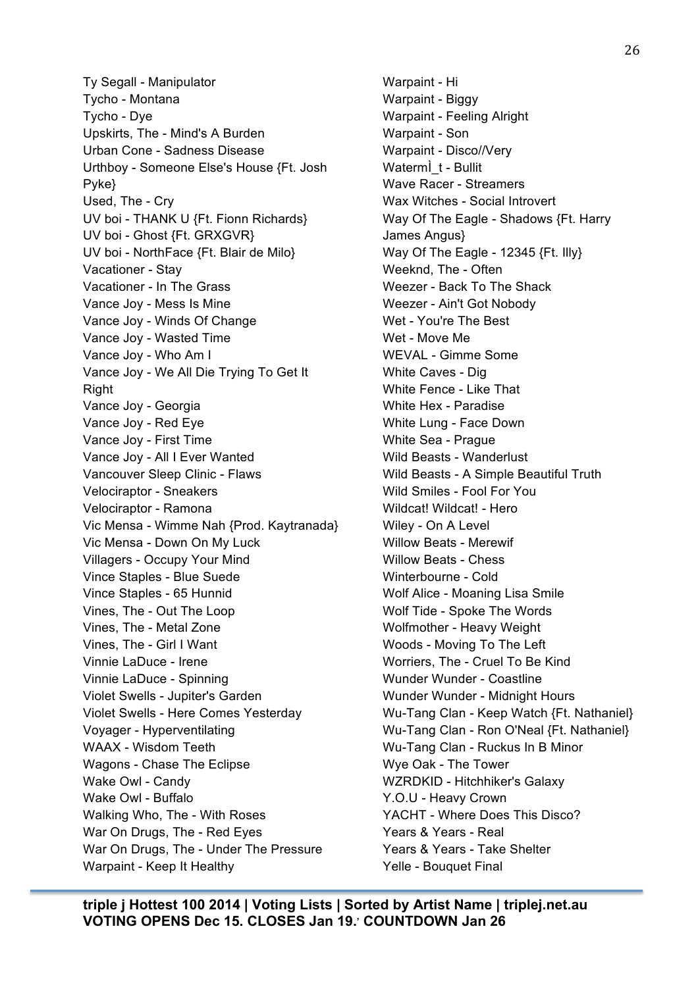Ty Segall - Manipulator Tycho - Montana Tycho - Dye Upskirts, The - Mind's A Burden Urban Cone - Sadness Disease Urthboy - Someone Else's House {Ft. Josh Pyke} Used, The - Cry UV boi - THANK U {Ft. Fionn Richards} UV boi - Ghost {Ft. GRXGVR} UV boi - NorthFace {Ft. Blair de Milo} Vacationer - Stay Vacationer - In The Grass Vance Joy - Mess Is Mine Vance Joy - Winds Of Change Vance Joy - Wasted Time Vance Joy - Who Am I Vance Joy - We All Die Trying To Get It Right Vance Joy - Georgia Vance Joy - Red Eye Vance Joy - First Time Vance Joy - All I Ever Wanted Vancouver Sleep Clinic - Flaws Velociraptor - Sneakers Velociraptor - Ramona Vic Mensa - Wimme Nah {Prod. Kaytranada} Vic Mensa - Down On My Luck Villagers - Occupy Your Mind Vince Staples - Blue Suede Vince Staples - 65 Hunnid Vines, The - Out The Loop Vines, The - Metal Zone Vines, The - Girl I Want Vinnie LaDuce - Irene Vinnie LaDuce - Spinning Violet Swells - Jupiter's Garden Violet Swells - Here Comes Yesterday Voyager - Hyperventilating WAAX - Wisdom Teeth Wagons - Chase The Eclipse Wake Owl - Candy Wake Owl - Buffalo Walking Who, The - With Roses War On Drugs, The - Red Eyes War On Drugs, The - Under The Pressure Warpaint - Keep It Healthy

Warpaint - Hi Warpaint - Biggy Warpaint - Feeling Alright Warpaint - Son Warpaint - Disco//Very Waterm<sup>j</sup>t - Bullit Wave Racer - Streamers Wax Witches - Social Introvert Way Of The Eagle - Shadows {Ft. Harry James Angus} Way Of The Eagle - 12345 {Ft. Illy} Weeknd, The - Often Weezer - Back To The Shack Weezer - Ain't Got Nobody Wet - You're The Best Wet - Move Me WEVAL - Gimme Some White Caves - Dig White Fence - Like That White Hex - Paradise White Lung - Face Down White Sea - Prague Wild Beasts - Wanderlust Wild Beasts - A Simple Beautiful Truth Wild Smiles - Fool For You Wildcat! Wildcat! - Hero Wiley - On A Level Willow Beats - Merewif Willow Beats - Chess Winterbourne - Cold Wolf Alice - Moaning Lisa Smile Wolf Tide - Spoke The Words Wolfmother - Heavy Weight Woods - Moving To The Left Worriers, The - Cruel To Be Kind Wunder Wunder - Coastline Wunder Wunder - Midnight Hours Wu-Tang Clan - Keep Watch {Ft. Nathaniel} Wu-Tang Clan - Ron O'Neal {Ft. Nathaniel} Wu-Tang Clan - Ruckus In B Minor Wye Oak - The Tower WZRDKID - Hitchhiker's Galaxy Y.O.U - Heavy Crown YACHT - Where Does This Disco? Years & Years - Real Years & Years - Take Shelter Yelle - Bouquet Final